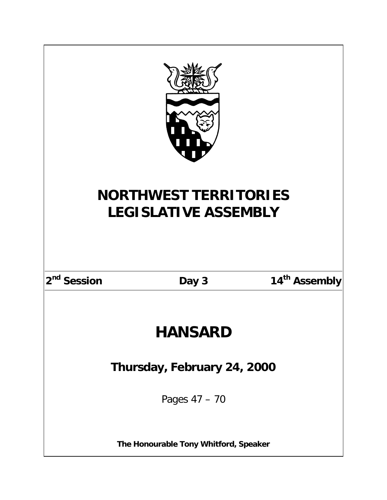| <b>NORTHWEST TERRITORIES</b><br><b>LEGISLATIVE ASSEMBLY</b> |       |                           |  |
|-------------------------------------------------------------|-------|---------------------------|--|
|                                                             |       |                           |  |
| 2 <sup>nd</sup> Session                                     | Day 3 | 14 <sup>th</sup> Assembly |  |
|                                                             |       |                           |  |
| <b>HANSARD</b>                                              |       |                           |  |
| Thursday, February 24, 2000                                 |       |                           |  |
| Pages 47 - 70                                               |       |                           |  |
| The Honourable Tony Whitford, Speaker                       |       |                           |  |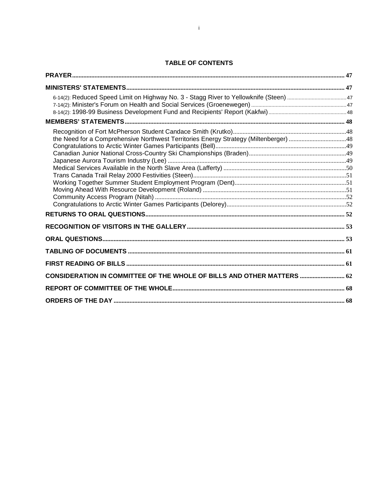# **TABLE OF CONTENTS**

| the Need for a Comprehensive Northwest Territories Energy Strategy (Miltenberger) 48 |  |
|--------------------------------------------------------------------------------------|--|
|                                                                                      |  |
|                                                                                      |  |
|                                                                                      |  |
|                                                                                      |  |
| CONSIDERATION IN COMMITTEE OF THE WHOLE OF BILLS AND OTHER MATTERS  62               |  |
|                                                                                      |  |
|                                                                                      |  |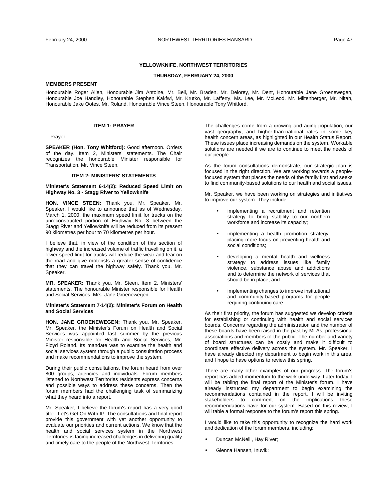### **YELLOWKNIFE, NORTHWEST TERRITORIES**

### **THURSDAY, FEBRUARY 24, 2000**

# <span id="page-6-0"></span>**MEMBERS PRESENT**

Honourable Roger Allen, Honourable Jim Antoine, Mr. Bell, Mr. Braden, Mr. Delorey, Mr. Dent, Honourable Jane Groenewegen, Honourable Joe Handley, Honourable Stephen Kakfwi, Mr. Krutko, Mr. Lafferty, Ms. Lee, Mr. McLeod, Mr. Miltenberger, Mr. Nitah, Honourable Jake Ootes, Mr. Roland, Honourable Vince Steen, Honourable Tony Whitford.

# **ITEM 1: PRAYER**

-- Prayer

**SPEAKER (Hon. Tony Whitford):** Good afternoon. Orders of the day. Item 2, Ministers' statements. The Chair recognizes the honourable Minister responsible for Transportation, Mr. Vince Steen.

# **ITEM 2: MINISTERS' STATEMENTS**

**Minister's Statement 6-14(2): Reduced Speed Limit on Highway No. 3 - Stagg River to Yellowknife** 

**HON. VINCE STEEN:** Thank you, Mr. Speaker. Mr. Speaker, I would like to announce that as of Wednesday, March 1, 2000, the maximum speed limit for trucks on the unreconstructed portion of Highway No. 3 between the Stagg River and Yellowknife will be reduced from its present 90 kilometres per hour to 70 kilometres per hour.

I believe that, in view of the condition of this section of highway and the increased volume of traffic travelling on it, a lower speed limit for trucks will reduce the wear and tear on the road and give motorists a greater sense of confidence that they can travel the highway safely. Thank you, Mr. Speaker.

**MR. SPEAKER:** Thank you, Mr. Steen. Item 2, Ministers' statements. The honourable Minister responsible for Health and Social Services, Mrs. Jane Groenewegen.

# **Minister's Statement 7-14(2): Minister's Forum on Health and Social Services**

**HON. JANE GROENEWEGEN:** Thank you, Mr. Speaker. Mr. Speaker, the Minister's Forum on Health and Social Services was appointed last summer by the previous Minister responsible for Health and Social Services, Mr. Floyd Roland. Its mandate was to examine the health and social services system through a public consultation process and make recommendations to improve the system.

During their public consultations, the forum heard from over 800 groups, agencies and individuals. Forum members listened to Northwest Territories residents express concerns and possible ways to address these concerns. Then the forum members had the challenging task of summarizing what they heard into a report.

Mr. Speaker, I believe the forum's report has a very good title - Let's Get On With It!. The consultations and final report provide this government with yet another opportunity to evaluate our priorities and current actions. We know that the health and social services system in the Northwest Territories is facing increased challenges in delivering quality and timely care to the people of the Northwest Territories.

The challenges come from a growing and aging population, our vast geography, and higher-than-national rates in some key health concern areas, as highlighted in our Health Status Report. These issues place increasing demands on the system. Workable solutions are needed if we are to continue to meet the needs of our people.

As the forum consultations demonstrate, our strategic plan is focused in the right direction. We are working towards a peoplefocused system that places the needs of the family first and seeks to find community-based solutions to our health and social issues.

Mr. Speaker, we have been working on strategies and initiatives to improve our system. They include:

- implementing a recruitment and retention strategy to bring stability to our northern workforce and increase its capacity;
- implementing a health promotion strategy, placing more focus on preventing health and social conditions;
- developing a mental health and wellness strategy to address issues like family violence, substance abuse and addictions and to determine the network of services that should be in place; and
- implementing changes to improve institutional and community-based programs for people requiring continuing care.

As their first priority, the forum has suggested we develop criteria for establishing or continuing with health and social services boards. Concerns regarding the administration and the number of these boards have been raised in the past by MLAs, professional associations and members of the public. The number and variety of board structures can be costly and make it difficult to coordinate effective delivery across the system. Mr. Speaker, I have already directed my department to begin work in this area, and I hope to have options to review this spring.

There are many other examples of our progress. The forum's report has added momentum to the work underway. Later today, I will be tabling the final report of the Minister's forum. I have already instructed my department to begin examining the recommendations contained in the report. I will be inviting stakeholders to comment on the implications these recommendations have for our system. Based on this review, I will table a formal response to the forum's report this spring.

I would like to take this opportunity to recognize the hard work and dedication of the forum members, including:

- Duncan McNeill, Hay River;
- Glenna Hansen, Inuvik;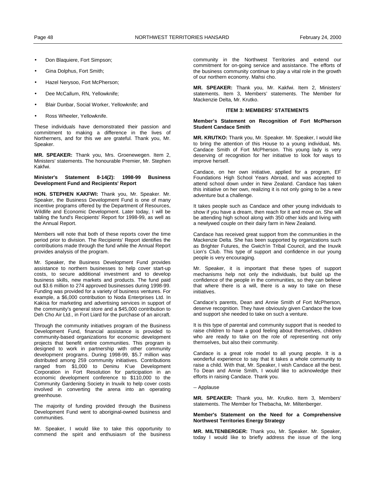- <span id="page-7-0"></span>• Don Blaquiere, Fort Simpson;
- Gina Dolphus, Fort Smith;
- Hazel Nerysoo, Fort McPherson;
- Dee McCallum, RN, Yellowknife;
- Blair Dunbar, Social Worker, Yellowknife; and
- Ross Wheeler, Yellowknife.

These individuals have demonstrated their passion and commitment to making a difference in the lives of Northerners, and for this we are grateful. Thank you, Mr. Speaker.

**MR. SPEAKER:** Thank you, Mrs. Groenewegen. Item 2, Ministers' statements. The honourable Premier, Mr. Stephen Kakfwi.

### **Minister's Statement 8-14(2): 1998-99 Business Development Fund and Recipients' Report**

**HON. STEPHEN KAKFWI:** Thank you, Mr. Speaker. Mr. Speaker, the Business Development Fund is one of many incentive programs offered by the Department of Resources, Wildlife and Economic Development. Later today, I will be tabling the fund's Recipients' Report for 1998-99, as well as the Annual Report.

Members will note that both of these reports cover the time period prior to division. The Recipients' Report identifies the contributions made through the fund while the Annual Report provides analysis of the program.

Mr. Speaker, the Business Development Fund provides assistance to northern businesses to help cover start-up costs, to secure additional investment and to develop business skills, new markets and products. The fund paid out \$3.6 million to 274 approved businesses during 1998-99. Funding was provided for a variety of business ventures. For example, a \$6,000 contribution to Noda Enterprises Ltd. In Kakisa for marketing and advertising services in support of the community's general store and a \$45,000 contribution to Deh Cho Air Ltd., in Fort Liard for the purchase of an aircraft.

Through the community initiatives program of the Business Development Fund, financial assistance is provided to community-based organizations for economic development projects that benefit entire communities. This program is designed to work in partnership with other community development programs. During 1998-99, \$5.7 million was distributed among 259 community initiatives. Contributions ranged from \$1,000 to Deninu K'ue Development Corporation in Fort Resolution for participation in an economic development conference to \$110,000 to the Community Gardening Society in Inuvik to help cover costs involved in converting the arena into an operating greenhouse.

The majority of funding provided through the Business Development Fund went to aboriginal-owned business and communities.

Mr. Speaker, I would like to take this opportunity to commend the spirit and enthusiasm of the business

community in the Northwest Territories and extend our commitment for on-going service and assistance. The efforts of the business community continue to play a vital role in the growth of our northern economy. Mahsi cho.

**MR. SPEAKER:** Thank you, Mr. Kakfwi. Item 2, Ministers' statements. Item 3, Members' statements. The Member for Mackenzie Delta, Mr. Krutko.

# **ITEM 3: MEMBERS' STATEMENTS**

### **Member's Statement on Recognition of Fort McPherson Student Candace Smith**

**MR. KRUTKO:** Thank you, Mr. Speaker. Mr. Speaker, I would like to bring the attention of this House to a young individual, Ms. Candace Smith of Fort McPherson. This young lady is very deserving of recognition for her initiative to look for ways to improve herself.

Candace, on her own initiative, applied for a program, EF Foundations High School Years Abroad, and was accepted to attend school down under in New Zealand. Candace has taken this initiative on her own, realizing it is not only going to be a new adventure but a challenge.

It takes people such as Candace and other young individuals to show if you have a dream, then reach for it and move on. She will be attending high school along with 350 other kids and living with a newlywed couple on their dairy farm in New Zealand.

Candace has received great support from the communities in the Mackenzie Delta. She has been supported by organizations such as Brighter Futures, the Gwich'in Tribal Council, and the Inuvik Lion's Club. This type of support and confidence in our young people is very encouraging.

Mr. Speaker, it is important that these types of support mechanisms help not only the individuals, but build up the confidence of the people in the communities, so they can believe that where there is a will, there is a way to take on these initiatives.

Candace's parents, Dean and Annie Smith of Fort McPherson, deserve recognition. They have obviously given Candace the love and support she needed to take on such a venture.

It is this type of parental and community support that is needed to raise children to have a good feeling about themselves, children who are ready to take on the role of representing not only themselves, but also their community.

Candace is a great role model to all young people. It is a wonderful experience to say that it takes a whole community to raise a child. With that, Mr. Speaker, I wish Candace all the best. To Dean and Annie Smith, I would like to acknowledge their efforts in raising Candace. Thank you.

# -- Applause

**MR. SPEAKER:** Thank you, Mr. Krutko. Item 3, Members' statements. The Member for Thebacha, Mr. Miltenberger.

### **Member's Statement on the Need for a Comprehensive Northwest Territories Energy Strategy**

**MR. MILTENBERGER:** Thank you, Mr. Speaker. Mr. Speaker, today I would like to briefly address the issue of the long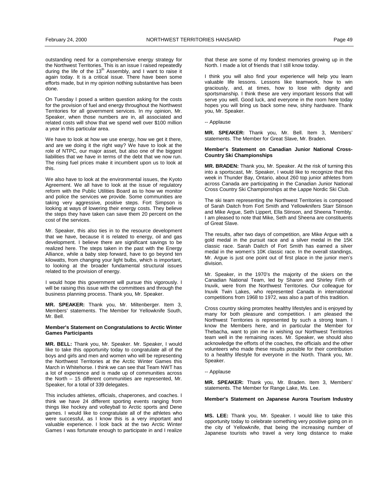<span id="page-8-0"></span>outstanding need for a comprehensive energy strategy for the Northwest Territories. This is an issue I raised repeatedly during the life of the 13<sup>th</sup> Assembly, and I want to raise it again today. It is a critical issue. There have been some efforts made, but in my opinion nothing substantive has been done.

On Tuesday I posed a written question asking for the costs for the provision of fuel and energy throughout the Northwest Territories for all government services. In my opinion, Mr. Speaker, when those numbers are in, all associated and related costs will show that we spend well over \$100 million a year in this particular area.

We have to look at how we use energy, how we get it there, and are we doing it the right way? We have to look at the role of NTPC, our major asset, but also one of the biggest liabilities that we have in terms of the debt that we now run. The rising fuel prices make it incumbent upon us to look at this.

We also have to look at the environmental issues, the Kyoto Agreement. We all have to look at the issue of regulatory reform with the Public Utilities Board as to how we monitor and police the services we provide. Some communities are taking very aggressive, positive steps. Fort Simpson is looking at ways of lowering their energy costs. They believe the steps they have taken can save them 20 percent on the cost of the services.

Mr. Speaker, this also ties in to the resource development that we have, because it is related to energy, oil and gas development. I believe there are significant savings to be realized here. The steps taken in the past with the Energy Alliance, while a baby step forward, have to go beyond ten kilowatts, from changing your light bulbs, which is important, to looking at the broader fundamental structural issues related to the provision of energy.

I would hope this government will pursue this vigorously. I will be raising this issue with the committees and through the business planning process. Thank you, Mr. Speaker.

**MR. SPEAKER:** Thank you, Mr. Miltenberger. Item 3, Members' statements. The Member for Yellowknife South, Mr. Bell.

### **Member's Statement on Congratulations to Arctic Winter Games Participants**

**MR. BELL:** Thank you, Mr. Speaker. Mr. Speaker, I would like to take this opportunity today to congratulate all of the boys and girls and men and women who will be representing the Northwest Territories at the Arctic Winter Games this March in Whitehorse. I think we can see that Team NWT has a lot of experience and is made up of communities across the North – 15 different communities are represented, Mr. Speaker, for a total of 339 delegates.

This includes athletes, officials, chaperones, and coaches. I think we have 24 different sporting events ranging from things like hockey and volleyball to Arctic sports and Dene games. I would like to congratulate all of the athletes who were successful, as I know this is a very important and valuable experience. I look back at the two Arctic Winter Games I was fortunate enough to participate in and I realize that these are some of my fondest memories growing up in the North. I made a lot of friends that I still know today.

I think you will also find your experience will help you learn valuable life lessons. Lessons like teamwork, how to win graciously, and, at times, how to lose with dignity and sportsmanship. I think these are very important lessons that will serve you well. Good luck, and everyone in the room here today hopes you will bring us back some new, shiny hardware. Thank you, Mr. Speaker.

-- Applause

**MR. SPEAKER:** Thank you, Mr. Bell. Item 3, Members' statements. The Member for Great Slave, Mr. Braden.

### **Member's Statement on Canadian Junior National Cross-Country Ski Championships**

**MR. BRADEN:** Thank you, Mr. Speaker. At the risk of turning this into a sportscast, Mr. Speaker, I would like to recognize that this week in Thunder Bay, Ontario, about 260 top junior athletes from across Canada are participating in the Canadian Junior National Cross Country Ski Championships at the Lappe Nordic Ski Club.

The ski team representing the Northwest Territories is composed of Sarah Daitch from Fort Smith and Yellowknifers Starr Stinson and Mike Argue, Seth Lippert, Ella Stinson, and Sheena Trembly. I am pleased to note that Mike, Seth and Sheena are constituents of Great Slave.

The results, after two days of competition, are Mike Argue with a gold medal in the pursuit race and a silver medal in the 15K classic race. Sarah Daitch of Fort Smith has earned a silver medal in the women's 10K classic race. In the overall standings, Mr. Argue is just one point out of first place in the junior men's division.

Mr. Speaker, in the 1970's the majority of the skiers on the Canadian National Team, led by Sharon and Shirley Firth of Inuvik, were from the Northwest Territories. Our colleague for Inuvik Twin Lakes, who represented Canada in international competitions from 1968 to 1972, was also a part of this tradition.

Cross country skiing promotes healthy lifestyles and is enjoyed by many for both pleasure and competition. I am pleased the Northwest Territories is represented by such a strong team. I know the Members here, and in particular the Member for Thebacha, want to join me in wishing our Northwest Territories team well in the remaining races. Mr. Speaker, we should also acknowledge the efforts of the coaches, the officials and the other volunteers who made these results possible for their contribution to a healthy lifestyle for everyone in the North. Thank you, Mr. Speaker.

-- Applause

**MR. SPEAKER:** Thank you, Mr. Braden. Item 3, Members' statements. The Member for Range Lake, Ms. Lee.

### **Member's Statement on Japanese Aurora Tourism Industry**

**MS. LEE:** Thank you, Mr. Speaker. I would like to take this opportunity today to celebrate something very positive going on in the city of Yellowknife, that being the increasing number of Japanese tourists who travel a very long distance to make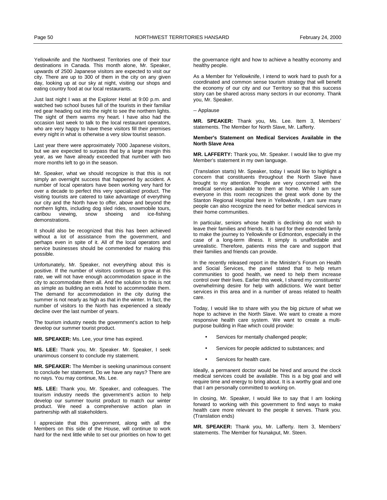<span id="page-9-0"></span>Yellowknife and the Northwest Territories one of their tour destinations in Canada. This month alone, Mr. Speaker, upwards of 2500 Japanese visitors are expected to visit our city. There are up to 300 of them in the city on any given day, looking up at our sky at night, visiting our shops and eating country food at our local restaurants.

Just last night I was at the Explorer Hotel at 9:00 p.m. and watched two school buses full of the tourists in their familiar red gear heading out into the night to see the northern lights. The sight of them warms my heart. I have also had the occasion last week to talk to the local restaurant operators, who are very happy to have these visitors fill their premises every night in what is otherwise a very slow tourist season.

Last year there were approximately 7000 Japanese visitors, but we are expected to surpass that by a large margin this year, as we have already exceeded that number with two more months left to go in the season.

Mr. Speaker, what we should recognize is that this is not simply an overnight success that happened by accident. A number of local operators have been working very hard for over a decade to perfect this very specialized product. The visiting tourists are catered to take advantage of everything our city and the North have to offer, above and beyond the northern lights, including dog sled rides, snowmobile tours, caribou viewing, snow shoeing and ice-fishing demonstrations.

It should also be recognized that this has been achieved without a lot of assistance from the government, and perhaps even in spite of it. All of the local operators and service businesses should be commended for making this possible.

Unfortunately, Mr. Speaker, not everything about this is positive. If the number of visitors continues to grow at this rate, we will not have enough accommodation space in the city to accommodate them all. And the solution to this is not as simple as building an extra hotel to accommodate them. The demand for accommodation in the city during the summer is not nearly as high as that in the winter. In fact, the number of visitors to the North has experienced a steady decline over the last number of years.

The tourism industry needs the government's action to help develop our summer tourist product.

**MR. SPEAKER:** Ms. Lee, your time has expired.

**MS. LEE:** Thank you, Mr. Speaker. Mr. Speaker, I seek unanimous consent to conclude my statement.

**MR. SPEAKER:** The Member is seeking unanimous consent to conclude her statement. Do we have any nays? There are no nays. You may continue, Ms. Lee.

**MS. LEE:** Thank you, Mr. Speaker, and colleagues. The tourism industry needs the government's action to help develop our summer tourist product to match our winter product. We need a comprehensive action plan in partnership with all stakeholders.

I appreciate that this government, along with all the Members on this side of the House, will continue to work hard for the next little while to set our priorities on how to get

the governance right and how to achieve a healthy economy and healthy people.

As a Member for Yellowknife, I intend to work hard to push for a coordinated and common sense tourism strategy that will benefit the economy of our city and our Territory so that this success story can be shared across many sectors in our economy. Thank you, Mr. Speaker.

-- Applause

**MR. SPEAKER:** Thank you, Ms. Lee. Item 3, Members' statements. The Member for North Slave, Mr. Lafferty.

**Member's Statement on Medical Services Available in the North Slave Area** 

**MR. LAFFERTY:** Thank you, Mr. Speaker. I would like to give my Member's statement in my own language.

(Translation starts) Mr. Speaker, today I would like to highlight a concern that constituents throughout the North Slave have brought to my attention. People are very concerned with the medical services available to them at home. While I am sure everyone in this room recognizes the great work done by the Stanton Regional Hospital here in Yellowknife, I am sure many people can also recognize the need for better medical services in their home communities.

In particular, seniors whose health is declining do not wish to leave their families and friends. It is hard for their extended family to make the journey to Yellowknife or Edmonton, especially in the case of a long-term illness. It simply is unaffordable and unrealistic. Therefore, patients miss the care and support that their families and friends can provide.

In the recently released report in the Minister's Forum on Health and Social Services, the panel stated that to help return communities to good health, we need to help them increase control over their lives. Earlier this week, I shared my constituents' overwhelming desire for help with addictions. We want better services in this area and in a number of areas related to health care.

Today, I would like to share with you the big picture of what we hope to achieve in the North Slave. We want to create a more responsive health care system. We want to create a multipurpose building in Rae which could provide:

- Services for mentally challenged people;
- Services for people addicted to substances; and
- Services for health care.

Ideally, a permanent doctor would be hired and around the clock medical services could be available. This is a big goal and will require time and energy to bring about. It is a worthy goal and one that I am personally committed to working on.

In closing, Mr. Speaker, I would like to say that I am looking forward to working with this government to find ways to make health care more relevant to the people it serves. Thank you. (Translation ends)

**MR. SPEAKER:** Thank you, Mr. Lafferty. Item 3, Members' statements. The Member for Nunakput, Mr. Steen.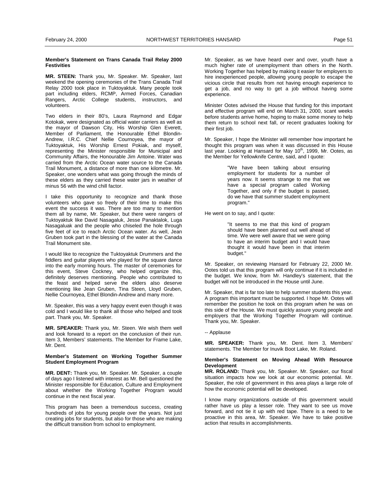### <span id="page-10-0"></span>**Member's Statement on Trans Canada Trail Relay 2000 Festivities**

**MR. STEEN:** Thank you, Mr. Speaker. Mr. Speaker, last weekend the opening ceremonies of the Trans Canada Trail Relay 2000 took place in Tuktoyaktuk. Many people took part including elders, RCMP, Armed Forces, Canadian Rangers, Arctic College students, instructors, and volunteers.

Two elders in their 80's, Laura Raymond and Edgar Kotokak, were designated as official water carriers as well as the mayor of Dawson City, His Worship Glen Everett, Member of Parliament, the Honourable Ethel Blondin-Andrew, I.R.C. Chief Nellie Cournoyea, the mayor of Tuktoyaktuk, His Worship Ernest Pokiak, and myself, representing the Minister responsible for Municipal and Community Affairs, the Honourable Jim Antoine. Water was carried from the Arctic Ocean water source to the Canada Trail Monument, a distance of more than one kilometre. Mr. Speaker, one wonders what was going through the minds of these elders as they carried these water jars in weather of minus 56 with the wind chill factor.

I take this opportunity to recognize and thank those volunteers who gave so freely of their time to make this event the success it was. There are too many to mention them all by name, Mr. Speaker, but there were rangers of Tuktoyaktuk like David Nasagaluk, Jesse Panaktalok, Luga Nasagaluak and the people who chiseled the hole through five feet of ice to reach Arctic Ocean water. As well, Jean Gruben took part in the blessing of the water at the Canada Trail Monument site.

I would like to recognize the Tuktoyaktuk Drummers and the fiddlers and guitar players who played for the square dance into the early morning hours. The master of ceremonies for this event, Steve Cockney, who helped organize this, definitely deserves mentioning. People who contributed to the feast and helped serve the elders also deserve mentioning like Jean Gruben, Tina Steen, Lloyd Gruben, Nellie Cournoyea, Ethel Blondin-Andrew and many more.

Mr. Speaker, this was a very happy event even though it was cold and I would like to thank all those who helped and took part. Thank you, Mr. Speaker.

**MR. SPEAKER:** Thank you, Mr. Steen. We wish them well and look forward to a report on the conclusion of their run. Item 3, Members' statements. The Member for Frame Lake, Mr. Dent.

### **Member's Statement on Working Together Summer Student Employment Program**

**MR. DENT:** Thank you, Mr. Speaker. Mr. Speaker, a couple of days ago I listened with interest as Mr. Bell questioned the Minister responsible for Education, Culture and Employment about whether the Working Together Program would continue in the next fiscal year.

This program has been a tremendous success, creating hundreds of jobs for young people over the years. Not just creating jobs for students, but also for those who are making the difficult transition from school to employment.

Mr. Speaker, as we have heard over and over, youth have a much higher rate of unemployment than others in the North. Working Together has helped by making it easier for employers to hire inexperienced people, allowing young people to escape the vicious circle that results from not having enough experience to get a job, and no way to get a job without having some experience.

Minister Ootes advised the House that funding for this important and effective program will end on March 31, 2000, scant weeks before students arrive home, hoping to make some money to help them return to school next fall, or recent graduates looking for their first job.

Mr. Speaker, I hope the Minister will remember how important he thought this program was when it was discussed in this House last year. Looking at Hansard for May 10<sup>th</sup>, 1999, Mr. Ootes, as the Member for Yellowknife Centre, said, and I quote:

> "We have been talking about ensuring employment for students for a number of years now. It seems strange to me that we have a special program called Working Together, and only if the budget is passed, do we have that summer student employment program."

He went on to say, and I quote:

"It seems to me that this kind of program should have been planned out well ahead of time. We were well aware that we were going to have an interim budget and I would have thought it would have been in that interim budget."

Mr. Speaker, on reviewing Hansard for February 22, 2000 Mr. Ootes told us that this program will only continue if it is included in the budget. We know, from Mr. Handley's statement, that the budget will not be introduced in the House until June.

Mr. Speaker, that is far too late to help summer students this year. A program this important must be supported. I hope Mr. Ootes will remember the position he took on this program when he was on this side of the House. We must quickly assure young people and employers that the Working Together Program will continue. Thank you, Mr. Speaker.

### -- Applause

**MR. SPEAKER:** Thank you, Mr. Dent. Item 3, Members' statements. The Member for Inuvik Boot Lake, Mr. Roland.

### **Member's Statement on Moving Ahead With Resource Development**

**MR. ROLAND:** Thank you, Mr. Speaker. Mr. Speaker, our fiscal situation impacts how we look at our economic potential. Mr. Speaker, the role of government in this area plays a large role of how the economic potential will be developed.

I know many organizations outside of this government would rather have us play a lesser role. They want to see us move forward, and not tie it up with red tape. There is a need to be proactive in this area, Mr. Speaker. We have to take positive action that results in accomplishments.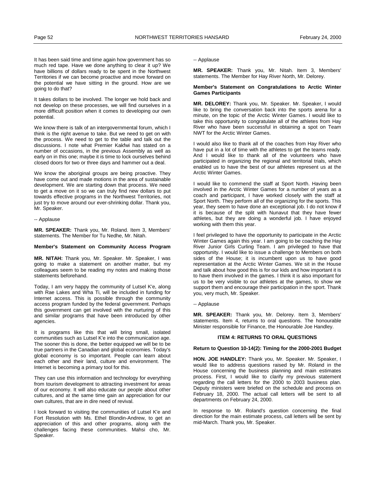<span id="page-11-0"></span>It has been said time and time again how government has so much red tape. Have we done anything to clear it up? We have billions of dollars ready to be spent in the Northwest Territories if we can become proactive and move forward on the potential we have sitting in the ground. How are we going to do that?

It takes dollars to be involved. The longer we hold back and not develop on these processes, we will find ourselves in a more difficult position when it comes to developing our own potential.

We know there is talk of an intergovernmental forum, which I think is the right avenue to take. But we need to get on with the process. We need to get to the table and talk out the discussions. I note what Premier Kakfwi has stated on a number of occasions, in the previous Assembly as well as early on in this one; maybe it is time to lock ourselves behind closed doors for two or three days and hammer out a deal.

We know the aboriginal groups are being proactive. They have come out and made motions in the area of sustainable development. We are starting down that process. We need to get a move on it so we can truly find new dollars to put towards effective programs in the Northwest Territories, not just try to move around our ever-shrinking dollar. Thank you, Mr. Speaker.

-- Applause

**MR. SPEAKER:** Thank you, Mr. Roland. Item 3, Members' statements. The Member for Tu Nedhe, Mr. Nitah.

# **Member's Statement on Community Access Program**

**MR. NITAH:** Thank you, Mr. Speaker. Mr. Speaker, I was going to make a statement on another matter, but my colleagues seem to be reading my notes and making those statements beforehand.

Today, I am very happy the community of Lutsel K'e, along with Rae Lakes and Wha Ti, will be included in funding for Internet access. This is possible through the community access program funded by the federal government. Perhaps this government can get involved with the nurturing of this and similar programs that have been introduced by other agencies.

It is programs like this that will bring small, isolated communities such as Lutsel K'e into the communication age. The sooner this is done, the better equipped we will be to be true partners in the Canadian and global economies. Today's global economy is so important. People can learn about each other and their land, culture and environment. The Internet is becoming a primary tool for this.

They can use this information and technology for everything from tourism development to attracting investment for areas of our economy. It will also educate our people about other cultures, and at the same time gain an appreciation for our own cultures, that are in dire need of revival.

I look forward to visiting the communities of Lutsel K'e and Fort Resolution with Ms. Ethel Blondin-Andrew, to get an appreciation of this and other programs, along with the challenges facing these communities. Mahsi cho, Mr. Speaker.

-- Applause

**MR. SPEAKER:** Thank you, Mr. Nitah. Item 3, Members' statements. The Member for Hay River North, Mr. Delorey.

### **Member's Statement on Congratulations to Arctic Winter Games Participants**

**MR. DELOREY:** Thank you, Mr. Speaker. Mr. Speaker, I would like to bring the conversation back into the sports arena for a minute, on the topic of the Arctic Winter Games. I would like to take this opportunity to congratulate all of the athletes from Hay River who have been successful in obtaining a spot on Team NWT for the Arctic Winter Games.

I would also like to thank all of the coaches from Hay River who have put in a lot of time with the athletes to get the teams ready. And I would like to thank all of the volunteers who have participated in organizing the regional and territorial trials, which enabled us to have the best of our athletes represent us at the Arctic Winter Games.

I would like to commend the staff at Sport North. Having been involved in the Arctic Winter Games for a number of years as a coach and participant, I have worked closely with the staff at Sport North. They perform all of the organizing for the sports. This year, they seem to have done an exceptional job. I do not know if it is because of the split with Nunavut that they have fewer athletes, but they are doing a wonderful job. I have enjoyed working with them this year.

I feel privileged to have the opportunity to participate in the Arctic Winter Games again this year. I am going to be coaching the Hay River Junior Girls Curling Team. I am privileged to have that opportunity. I would like to issue a challenge to Members on both sides of the House; it is incumbent upon us to have good representation at the Arctic Winter Games. We sit in the House and talk about how good this is for our kids and how important it is to have them involved in the games. I think it is also important for us to be very visible to our athletes at the games, to show we support them and encourage their participation in the sport. Thank you, very much, Mr. Speaker.

-- Applause

**MR. SPEAKER:** Thank you, Mr. Delorey. Item 3, Members' statements. Item 4, returns to oral questions. The honourable Minister responsible for Finance, the Honourable Joe Handley.

# **ITEM 4: RETURNS TO ORAL QUESTIONS**

**Return to Question 10-14(2): Timing for the 2000-2001 Budget** 

**HON. JOE HANDLEY:** Thank you, Mr. Speaker. Mr. Speaker, I would like to address questions raised by Mr. Roland in the House concerning the business planning and main estimates process. First, I would like to clarify my previous statement regarding the call letters for the 2000 to 2003 business plan. Deputy ministers were briefed on the schedule and process on February 18, 2000. The actual call letters will be sent to all departments on February 24, 2000.

In response to Mr. Roland's question concerning the final direction for the main estimate process, call letters will be sent by mid-March. Thank you, Mr. Speaker.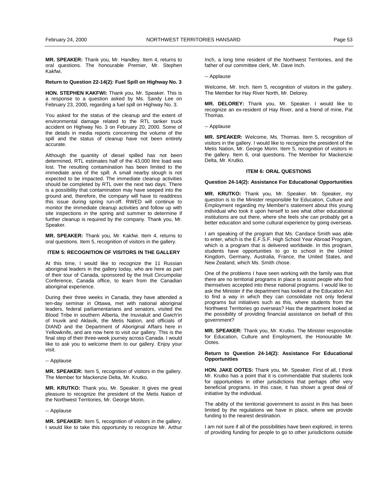<span id="page-12-0"></span>**MR. SPEAKER:** Thank you, Mr. Handley. Item 4, returns to oral questions. The honourable Premier, Mr. Stephen Kakfwi.

#### **Return to Question 22-14(2): Fuel Spill on Highway No. 3**

**HON. STEPHEN KAKFWI:** Thank you, Mr. Speaker. This is a response to a question asked by Ms. Sandy Lee on February 23, 2000, regarding a fuel spill on Highway No. 3.

You asked for the status of the cleanup and the extent of environmental damage related to the RTL tanker truck accident on Highway No. 3 on February 20, 2000. Some of the details in media reports concerning the volume of the spill and the status of cleanup have not been entirely accurate.

Although the quantity of diesel spilled has not been determined, RTL estimates half of the 43,000 litre load was lost. The resulting contamination has been limited to the immediate area of the spill. A small nearby slough is not expected to be impacted. The immediate cleanup activities should be completed by RTL over the next two days. There is a possibility that contamination may have seeped into the ground and, therefore, the company will have to readdress this issue during spring run-off. RWED will continue to monitor the immediate cleanup activities and follow up with site inspections in the spring and summer to determine if further cleanup is required by the company. Thank you, Mr. Speaker.

**MR. SPEAKER:** Thank you, Mr. Kakfwi. Item 4, returns to oral questions. Item 5, recognition of visitors in the gallery.

# **ITEM 5: RECOGNITION OF VISITORS IN THE GALLERY**

At this time, I would like to recognize the 11 Russian aboriginal leaders in the gallery today, who are here as part of their tour of Canada, sponsored by the Inuit Circumpolar Conference, Canada office, to learn from the Canadian aboriginal experience.

During their three weeks in Canada, they have attended a ten-day seminar in Ottawa, met with national aboriginal leaders, federal parliamentarians and senators, visited the Blood Tribe in southern Alberta, the Inuvialuit and Gwich'in of Inuvik and Aklavik, the Metis Nation, and officials of DIAND and the Department of Aboriginal Affairs here in Yellowknife, and are now here to visit our gallery. This is the final step of their three-week journey across Canada. I would like to ask you to welcome them to our gallery. Enjoy your visit.

#### -- Applause

**MR. SPEAKER:** Item 5, recognition of visitors in the gallery. The Member for Mackenzie Delta, Mr. Krutko.

**MR. KRUTKO:** Thank you, Mr. Speaker. It gives me great pleasure to recognize the president of the Metis Nation of the Northwest Territories, Mr. George Morin.

-- Applause

**MR. SPEAKER:** Item 5, recognition of visitors in the gallery. I would like to take this opportunity to recognize Mr. Arthur Inch, a long time resident of the Northwest Territories, and the father of our committee clerk, Mr. Dave Inch.

-- Applause

Welcome, Mr. Inch. Item 5, recognition of visitors in the gallery. The Member for Hay River North, Mr. Delorey.

**MR. DELOREY:** Thank you, Mr. Speaker. I would like to recognize an ex-resident of Hay River, and a friend of mine, Pat Thomas.

-- Applause

**MR. SPEAKER:** Welcome, Ms. Thomas. Item 5, recognition of visitors in the gallery. I would like to recognize the president of the Metis Nation, Mr. George Morin. Item 5, recognition of visitors in the gallery. Item 6, oral questions. The Member for Mackenzie Delta, Mr. Krutko.

### **ITEM 6: ORAL QUESTIONS**

#### **Question 24-14(2): Assistance For Educational Opportunities**

**MR. KRUTKO:** Thank you, Mr. Speaker. Mr. Speaker, my question is to the Minister responsible for Education, Culture and Employment regarding my Member's statement about this young individual who took it upon herself to see what other educational institutions are out there, where she feels she can probably get a better education and some cultural experience by going overseas.

I am speaking of the program that Ms. Candace Smith was able to enter, which is the E.F.S.F. High School Year Abroad Program, which is a program that is delivered worldwide. In this program, students have opportunities to go to school in the United Kingdom, Germany, Australia, France, the United States, and New Zealand, which Ms. Smith chose.

One of the problems I have seen working with the family was that there are no territorial programs in place to assist people who find themselves accepted into these national programs. I would like to ask the Minister if the department has looked at the Education Act to find a way in which they can consolidate not only federal programs but initiatives such as this, where students from the Northwest Territories go overseas? Has the department looked at the possibility of providing financial assistance on behalf of this government?

**MR. SPEAKER:** Thank you, Mr. Krutko. The Minister responsible for Education, Culture and Employment, the Honourable Mr. Ootes.

### **Return to Question 24-14(2): Assistance For Educational Opportunities**

**HON. JAKE OOTES:** Thank you, Mr. Speaker. First of all, I think Mr. Krutko has a point that it is commendable that students look for opportunities in other jurisdictions that perhaps offer very beneficial programs. In this case, it has shown a great deal of initiative by the individual.

The ability of the territorial government to assist in this has been limited by the regulations we have in place, where we provide funding to the nearest destination.

I am not sure if all of the possibilities have been explored, in terms of providing funding for people to go to other jurisdictions outside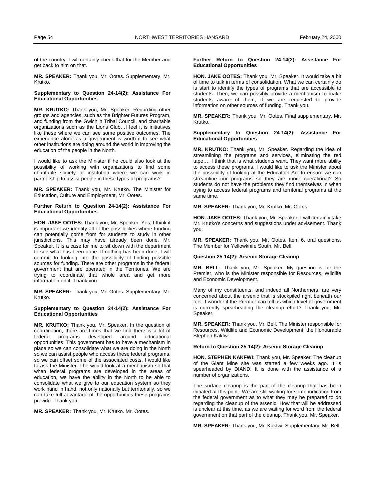of the country. I will certainly check that for the Member and get back to him on that.

**MR. SPEAKER:** Thank you, Mr. Ootes. Supplementary, Mr. Krutko.

### **Supplementary to Question 24-14(2): Assistance For Educational Opportunities**

**MR. KRUTKO:** Thank you, Mr. Speaker. Regarding other groups and agencies, such as the Brighter Futures Program, and funding from the Gwich'in Tribal Council, and charitable organizations such as the Lions Club…I feel it is initiatives like these where we can see some positive outcomes. The experience alone as a government is worth it to see what other institutions are doing around the world in improving the education of the people in the North.

I would like to ask the Minister if he could also look at the possibility of working with organizations to find some charitable society or institution where we can work in partnership to assist people in these types of programs?

**MR. SPEAKER:** Thank you, Mr. Krutko. The Minister for Education, Culture and Employment, Mr. Ootes.

### **Further Return to Question 24-14(2): Assistance For Educational Opportunities**

**HON. JAKE OOTES:** Thank you, Mr. Speaker. Yes, I think it is important we identify all of the possibilities where funding can potentially come from for students to study in other jurisdictions. This may have already been done, Mr. Speaker. It is a case for me to sit down with the department to see what has been done. If nothing has been done, I will commit to looking into the possibility of finding possible sources for funding. There are other programs in the federal government that are operated in the Territories. We are trying to coordinate that whole area and get more information on it. Thank you.

**MR. SPEAKER:** Thank you, Mr. Ootes. Supplementary, Mr. Krutko.

### **Supplementary to Question 24-14(2): Assistance For Educational Opportunities**

**MR. KRUTKO:** Thank you, Mr. Speaker. In the question of coordination, there are times that we find there is a lot of federal programs developed around educational federal programs developed around educational opportunities. This government has to have a mechanism in place so we can consolidate what we are doing in the North so we can assist people who access these federal programs, so we can offset some of the associated costs. I would like to ask the Minister if he would look at a mechanism so that when federal programs are developed in the areas of education, we have the ability in the North to be able to consolidate what we give to our education system so they work hand in hand, not only nationally but territorially, so we can take full advantage of the opportunities these programs provide. Thank you.

**MR. SPEAKER:** Thank you, Mr. Krutko. Mr. Ootes.

### **Further Return to Question 24-14(2): Assistance For Educational Opportunities**

**HON. JAKE OOTES:** Thank you, Mr. Speaker. It would take a bit of time to talk in terms of consolidation. What we can certainly do is start to identify the types of programs that are accessible to students. Then, we can possibly provide a mechanism to make students aware of them, if we are requested to provide information on other sources of funding. Thank you.

**MR. SPEAKER:** Thank you, Mr. Ootes. Final supplementary, Mr. Krutko.

### **Supplementary to Question 24-14(2): Assistance For Educational Opportunities**

**MR. KRUTKO:** Thank you, Mr. Speaker. Regarding the idea of streamlining the programs and services, eliminating the red tape…, I think that is what students want. They want more ability to access these programs. I would like to ask the Minister about the possibility of looking at the Education Act to ensure we can streamline our programs so they are more operational? So students do not have the problems they find themselves in when trying to access federal programs and territorial programs at the same time.

**MR. SPEAKER:** Thank you, Mr. Krutko. Mr. Ootes.

**HON. JAKE OOTES:** Thank you, Mr. Speaker. I will certainly take Mr. Krutko's concerns and suggestions under advisement. Thank you.

**MR. SPEAKER:** Thank you, Mr. Ootes. Item 6, oral questions. The Member for Yellowknife South, Mr. Bell.

#### **Question 25-14(2): Arsenic Storage Cleanup**

**MR. BELL:** Thank you, Mr. Speaker. My question is for the Premier, who is the Minister responsible for Resources, Wildlife and Economic Development.

Many of my constituents, and indeed all Northerners, are very concerned about the arsenic that is stockpiled right beneath our feet. I wonder if the Premier can tell us which level of government is currently spearheading the cleanup effort? Thank you, Mr. Speaker.

**MR. SPEAKER:** Thank you, Mr. Bell. The Minister responsible for Resources, Wildlife and Economic Development, the Honourable Stephen Kakfwi.

# **Return to Question 25-14(2): Arsenic Storage Cleanup**

**HON. STEPHEN KAKFWI:** Thank you, Mr. Speaker. The cleanup of the Giant Mine site was started a few weeks ago. It is spearheaded by DIAND. It is done with the assistance of a number of organizations.

The surface cleanup is the part of the cleanup that has been initiated at this point. We are still waiting for some indication from the federal government as to what they may be prepared to do regarding the cleanup of the arsenic. How that will be addressed is unclear at this time, as we are waiting for word from the federal government on that part of the cleanup. Thank you, Mr. Speaker.

**MR. SPEAKER:** Thank you, Mr. Kakfwi. Supplementary, Mr. Bell.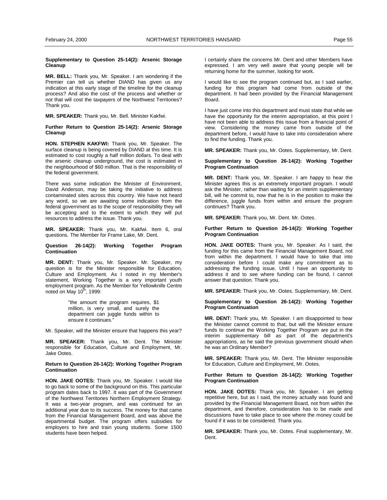### **Supplementary to Question 25-14(2): Arsenic Storage Cleanup (Bell)**

**MR. BELL:** Thank you, Mr. Speaker. I am wondering if the Premier can tell us whether DIAND has given us any indication at this early stage of the timeline for the cleanup process? And also the cost of the process and whether or not that will cost the taxpayers of the Northwest Territories? Thank you.

**MR. SPEAKER:** Thank you, Mr. Bell. Minister Kakfwi.

### **Further Return to Question 25-14(2): Arsenic Storage Cleanup**

**HON. STEPHEN KAKFWI:** Thank you, Mr. Speaker. The surface cleanup is being covered by DIAND at this time. It is estimated to cost roughly a half million dollars. To deal with the arsenic cleanup underground, the cost is estimated in the neighbourhood of \$60 million. That is the responsibility of the federal government.

There was some indication the Minister of Environment, David Anderson, may be taking the initiative to address contaminated sites across this country. We have not heard any word, so we are awaiting some indication from the federal government as to the scope of responsibility they will be accepting and to the extent to which they will put resources to address the issue. Thank you.

**MR. SPEAKER:** Thank you, Mr. Kakfwi. Item 6, oral questions. The Member for Frame Lake, Mr. Dent.

### **Question 26-14(2): Working Together Program Continuation**

**MR. DENT:** Thank you, Mr. Speaker. Mr. Speaker, my question is for the Minister responsible for Education, Culture and Employment. As I noted in my Member's statement, Working Together is a very important youth employment program. As the Member for Yellowknife Centre noted on May  $10^{th}$ , 1999:

> "the amount the program requires, \$1 million, is very small, and surely the department can juggle funds within to ensure it continues."

Mr. Speaker, will the Minister ensure that happens this year?

**MR. SPEAKER:** Thank you, Mr. Dent. The Minister responsible for Education, Culture and Employment, Mr. Jake Ootes.

### **Return to Question 26-14(2): Working Together Program Continuation**

**HON. JAKE OOTES:** Thank you, Mr. Speaker. I would like to go back to some of the background on this. This particular program dates back to 1997. It was part of the Government of the Northwest Territories Northern Employment Strategy. It was a two-year program, and was continued for an additional year due to its success. The money for that came from the Financial Management Board, and was above the departmental budget. The program offers subsidies for employers to hire and train young students. Some 1500 students have been helped.

I certainly share the concerns Mr. Dent and other Members have expressed. I am very well aware that young people will be returning home for the summer, looking for work.

I would like to see the program continued but, as I said earlier, funding for this program had come from outside of the department. It had been provided by the Financial Management Board.

I have just come into this department and must state that while we have the opportunity for the interim appropriation, at this point I have not been able to address this issue from a financial point of view. Considering the money came from outside of the department before, I would have to take into consideration where to find the funding. Thank you.

**MR. SPEAKER:** Thank you, Mr. Ootes. Supplementary, Mr. Dent.

#### **Supplementary to Question 26-14(2): Working Together Program Continuation**

**MR. DENT:** Thank you, Mr. Speaker. I am happy to hear the Minister agrees this is an extremely important program. I would ask the Minister, rather than waiting for an interim supplementary bill, will he commit to, now that he is in the position to make the difference, juggle funds from within and ensure the program continues? Thank you.

**MR. SPEAKER:** Thank you, Mr. Dent. Mr. Ootes.

### **Further Return to Question 26-14(2): Working Together Program Continuation**

**HON. JAKE OOTES:** Thank you, Mr. Speaker. As I said, the funding for this came from the Financial Management Board, not from within the department. I would have to take that into consideration before I could make any commitment as to addressing the funding issue. Until I have an opportunity to address it and to see where funding can be found, I cannot answer that question. Thank you.

**MR. SPEAKER:** Thank you, Mr. Ootes. Supplementary, Mr. Dent.

# **Supplementary to Question 26-14(2): Working Together Program Continuation**

**MR. DENT:** Thank you, Mr. Speaker. I am disappointed to hear the Minister cannot commit to that, but will the Minister ensure funds to continue the Working Together Program are put in the interim supplementary bill as part of the department's appropriations, as he said the previous government should when he was an Ordinary Member?

**MR. SPEAKER:** Thank you, Mr. Dent. The Minister responsible for Education, Culture and Employment, Mr. Ootes.

# **Further Return to Question 26-14(2): Working Together Program Continuation**

**HON. JAKE OOTES:** Thank you, Mr. Speaker. I am getting repetitive here, but as I said, the money actually was found and provided by the Financial Management Board, not from within the department, and therefore, consideration has to be made and discussions have to take place to see where the money could be found if it was to be considered. Thank you.

**MR. SPEAKER:** Thank you, Mr. Ootes. Final supplementary, Mr. Dent.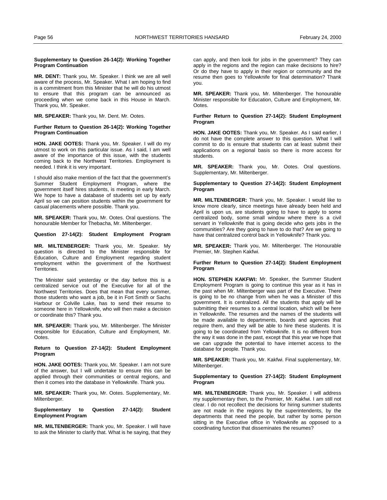### **Supplementary to Question 26-14(2): Working Together Program Continuation**

**MR. DENT:** Thank you, Mr. Speaker. I think we are all well aware of the process, Mr. Speaker. What I am hoping to find is a commitment from this Minister that he will do his utmost to ensure that this program can be announced as proceeding when we come back in this House in March. Thank you, Mr. Speaker.

**MR. SPEAKER:** Thank you, Mr. Dent. Mr. Ootes.

### **Further Return to Question 26-14(2): Working Together Program Continuation**

**HON. JAKE OOTES:** Thank you, Mr. Speaker. I will do my utmost to work on this particular issue. As I said, I am well aware of the importance of this issue, with the students coming back to the Northwest Territories. Employment is needed. I think it is very important.

I should also make mention of the fact that the government's Summer Student Employment Program, where the government itself hires students, is meeting in early March. We hope to have a database of students set up by early April so we can position students within the government for casual placements where possible. Thank you.

**MR. SPEAKER:** Thank you, Mr. Ootes. Oral questions. The honourable Member for Thebacha, Mr. Miltenberger.

#### **Question 27-14(2): Student Employment Program**

**MR. MILTENBERGER:** Thank you, Mr. Speaker. My question is directed to the Minister responsible for Education, Culture and Employment regarding student employment within the government of the Northwest **Territories** 

The Minister said yesterday or the day before this is a centralized service out of the Executive for all of the Northwest Territories. Does that mean that every summer, those students who want a job, be it in Fort Smith or Sachs Harbour or Colville Lake, has to send their resume to someone here in Yellowknife, who will then make a decision or coordinate this? Thank you.

**MR. SPEAKER:** Thank you, Mr. Miltenberger. The Minister responsible for Education, Culture and Employment, Mr. Ootes.

### **Return to Question 27-14(2): Student Employment Program**

**HON. JAKE OOTES:** Thank you, Mr. Speaker. I am not sure of the answer, but I will undertake to ensure this can be applied through their communities or central regions, and then it comes into the database in Yellowknife. Thank you.

**MR. SPEAKER:** Thank you, Mr. Ootes. Supplementary, Mr. Miltenberger.

# **Supplementary to Question 27-14(2): Student Employment Program**

**MR. MILTENBERGER:** Thank you, Mr. Speaker. I will have to ask the Minister to clarify that. What is he saying, that they can apply, and then look for jobs in the government? They can apply in the regions and the region can make decisions to hire? Or do they have to apply in their region or community and the resume then goes to Yellowknife for final determination? Thank you.

**MR. SPEAKER:** Thank you, Mr. Miltenberger. The honourable Minister responsible for Education, Culture and Employment, Mr. Ootes.

#### **Further Return to Question 27-14(2): Student Employment Program**

**HON. JAKE OOTES:** Thank you, Mr. Speaker. As I said earlier, I do not have the complete answer to this question. What I will commit to do is ensure that students can at least submit their applications on a regional basis so there is more access for students.

**MR. SPEAKER:** Thank you, Mr. Ootes. Oral questions. Supplementary, Mr. Miltenberger.

# **Supplementary to Question 27-14(2): Student Employment Program**

**MR. MILTENBERGER:** Thank you, Mr. Speaker. I would like to know more clearly, since meetings have already been held and April is upon us, are students going to have to apply to some centralized body, some small window where there is a civil servant in Yellowknife that is going decide who gets jobs in the communities? Are they going to have to do that? Are we going to have that centralized control back in Yellowknife? Thank you.

**MR. SPEAKER:** Thank you, Mr. Miltenberger. The Honourable Premier, Mr. Stephen Kakfwi.

# **Further Return to Question 27-14(2): Student Employment Program**

**HON. STEPHEN KAKFWI:** Mr. Speaker, the Summer Student Employment Program is going to continue this year as it has in the past when Mr. Miltenberger was part of the Executive. There is going to be no change from when he was a Minister of this government. It is centralized. All the students that apply will be submitting their resumes to a central location, which will be here in Yellowknife. The resumes and the names of the students will be made available to departments, boards and agencies that require them, and they will be able to hire these students. It is going to be coordinated from Yellowknife. It is no different from the way it was done in the past, except that this year we hope that we can upgrade the potential to have internet access to the database for people. Thank you.

**MR. SPEAKER:** Thank you, Mr. Kakfwi. Final supplementary, Mr. Miltenberger.

### **Supplementary to Question 27-14(2): Student Employment Program**

**MR. MILTENBERGER:** Thank you, Mr. Speaker. I will address my supplementary then, to the Premier, Mr. Kakfwi. I am still not clear. I do not recollect the decisions for hiring summer students are not made in the regions by the superintendents, by the departments that need the people, but rather by some person sitting in the Executive office in Yellowknife as opposed to a coordinating function that disseminates the resumes?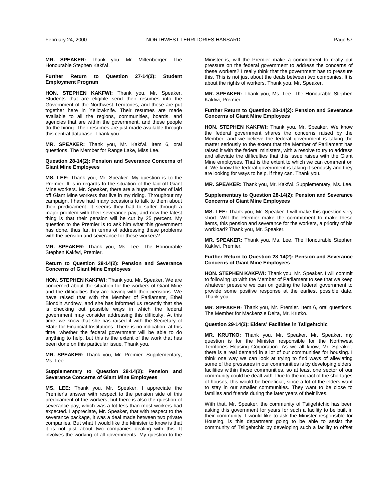**MR. SPEAKER:** Thank you, Mr. Miltenberger. The Honourable Stephen Kakfwi.

**Further Return to Question 27-14(2): Student Employment Program (**

**HON. STEPHEN KAKFWI:** Thank you, Mr. Speaker. Students that are eligible send their resumes into the Government of the Northwest Territories, and these are put together here in Yellowknife. Their resumes are made available to all the regions, communities, boards, and agencies that are within the government, and these people do the hiring. Their resumes are just made available through this central database. Thank you.

**MR. SPEAKER:** Thank you, Mr. Kakfwi. Item 6, oral questions. The Member for Range Lake, Miss Lee.

### **Question 28-14(2): Pension and Severance Concerns of Giant Mine Employees**

**MS. LEE:** Thank you, Mr. Speaker. My question is to the Premier. It is in regards to the situation of the laid off Giant Mine workers. Mr. Speaker, there are a huge number of laid off Giant Mine workers that live in my riding. Throughout my campaign, I have had many occasions to talk to them about their predicament. It seems they had to suffer through a major problem with their severance pay, and now the latest thing is that their pension will be cut by 25 percent. My question to the Premier is to ask him what this government has done, thus far, in terms of addressing these problems with the pension and severance for these workers?

**MR. SPEAKER:** Thank you, Ms. Lee. The Honourable Stephen Kakfwi, Premier.

### **Return to Question 28-14(2): Pension and Severance Concerns of Giant Mine Employees**

**HON. STEPHEN KAKFWI:** Thank you, Mr. Speaker. We are concerned about the situation for the workers of Giant Mine and the difficulties they are having with their pensions. We have raised that with the Member of Parliament, Ethel Blondin Andrew, and she has informed us recently that she is checking out possible ways in which the federal government may consider addressing this difficulty. At this time, we know that she has raised it with the Secretary of State for Financial Institutions. There is no indication, at this time, whether the federal government will be able to do anything to help, but this is the extent of the work that has been done on this particular issue. Thank you.

**MR. SPEAKER:** Thank you, Mr. Premier. Supplementary, Ms. Lee.

# **Supplementary to Question 28-14(2): Pension and Severance Concerns of Giant Mine Employees**

**MS. LEE:** Thank you, Mr. Speaker. I appreciate the Premier's answer with respect to the pension side of this predicament of the workers, but there is also the question of severance pay, which was a lot less than most workers had expected. I appreciate, Mr. Speaker, that with respect to the severance package, it was a deal made between two private companies. But what I would like the Minister to know is that it is not just about two companies dealing with this. It involves the working of all governments. My question to the

Minister is, will the Premier make a commitment to really put pressure on the federal government to address the concerns of these workers? I really think that the government has to pressure this. This is not just about the deals between two companies. It is about the rights of workers. Thank you, Mr. Speaker.

**MR. SPEAKER:** Thank you, Ms. Lee. The Honourable Stephen Kakfwi, Premier.

# **Further Return to Question 28-14(2): Pension and Severance Concerns of Giant Mine Employees**

**HON. STEPHEN KAKFWI:** Thank you, Mr. Speaker. We know the federal government shares the concerns raised by the Member, and we believe the federal government is taking the matter seriously to the extent that the Member of Parliament has raised it with the federal ministers, with a resolve to try to address and alleviate the difficulties that this issue raises with the Giant Mine employees. That is the extent to which we can comment on it. We know the federal government is taking it seriously and they are looking for ways to help, if they can. Thank you.

**MR. SPEAKER:** Thank you, Mr. Kakfwi. Supplementary, Ms. Lee.

### **Supplementary to Question 28-14(2): Pension and Severance Concerns of Giant Mine Employees**

**MS. LEE:** Thank you, Mr. Speaker. I will make this question very short. Will the Premier make the commitment to make these items, this pension and severance for the workers, a priority of his workload? Thank you, Mr. Speaker.

**MR. SPEAKER:** Thank you, Ms. Lee. The Honourable Stephen Kakfwi, Premier.

# **Further Return to Question 28-14(2): Pension and Severance Concerns of Giant Mine Employees**

**HON. STEPHEN KAKFWI:** Thank you, Mr. Speaker. I will commit to following up with the Member of Parliament to see that we keep whatever pressure we can on getting the federal government to provide some positive response at the earliest possible date. Thank you.

**MR. SPEAKER:** Thank you, Mr. Premier. Item 6, oral questions. The Member for Mackenzie Delta, Mr. Krutko.

### **Question 29-14(2): Elders' Facilities in Tsiigehtchic**

**MR. KRUTKO:** Thank you, Mr. Speaker. Mr. Speaker, my question is for the Minister responsible for the Northwest Territories Housing Corporation. As we all know, Mr. Speaker, there is a real demand in a lot of our communities for housing. I think one way we can look at trying to find ways of alleviating some of the pressures in our communities is by developing elders' facilities within these communities, so at least one sector of our community could be dealt with. Due to the impact of the shortages of houses, this would be beneficial, since a lot of the elders want to stay in our smaller communities. They want to be close to families and friends during the later years of their lives.

With that, Mr. Speaker, the community of Tsiigehtchic has been asking this government for years for such a facility to be built in their community. I would like to ask the Minister responsible for Housing, is this department going to be able to assist the community of Tsiigehtchic by developing such a facility to offset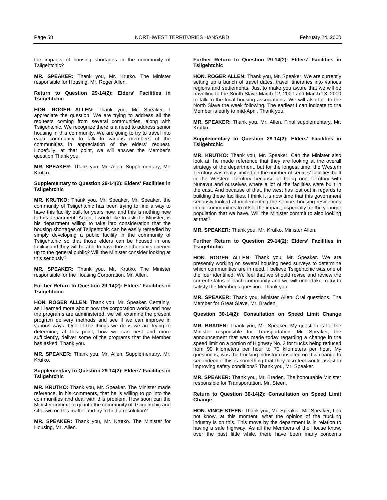the impacts of housing shortages in the community of Tsiigehtchic?

**MR. SPEAKER:** Thank you, Mr. Krutko. The Minister responsible for Housing, Mr. Roger Allen.

### **Return to Question 29-14(2): Elders' Facilities in Tsiigehtchic**

**HON. ROGER ALLEN:** Thank you, Mr. Speaker. I appreciate the question. We are trying to address all the requests coming from several communities, along with Tsiigehtchic. We recognize there is a need to address senior housing in this community. We are going to try to travel into each community to talk to various members of the communities in appreciation of the elders' request. Hopefully, at that point, we will answer the Member's question Thank you.

**MR. SPEAKER:** Thank you, Mr. Allen. Supplementary, Mr. Krutko.

# **Supplementary to Question 29-14(2): Elders' Facilities in Tsiigehtchic**

**MR. KRUTKO:** Thank you, Mr. Speaker. Mr. Speaker, the community of Tsiigehtchic has been trying to find a way to have this facility built for years now, and this is nothing new to this department. Again, I would like to ask the Minister, is his department willing to take into consideration that the housing shortages of Tsiigehtchic can be easily remedied by simply developing a public facility in the community of Tsiigehtchic so that those elders can be housed in one facility and they will be able to have those other units opened up to the general public? Will the Minister consider looking at this seriously?

**MR. SPEAKER:** Thank you, Mr. Krutko. The Minister responsible for the Housing Corporation, Mr. Allen.

# **Further Return to Question 29-14(2): Elders' Facilities in Tsiigehtchic**

**HON. ROGER ALLEN:** Thank you, Mr. Speaker. Certainly, as I learned more about how the corporation works and how the programs are administered, we will examine the present program delivery methods and see if we can improve in various ways. One of the things we do is we are trying to determine, at this point, how we can best and more sufficiently, deliver some of the programs that the Member has asked. Thank you.

**MR. SPEAKER:** Thank you, Mr. Allen. Supplementary, Mr. Krutko.

### **Supplementary to Question 29-14(2): Elders' Facilities in Tsiigehtchic**

**MR. KRUTKO:** Thank you, Mr. Speaker. The Minister made reference, in his comments, that he is willing to go into the communities and deal with this problem. How soon can the Minister commit to go into the community of Tsiigehtchic and sit down on this matter and try to find a resolution?

**MR. SPEAKER:** Thank you, Mr. Krutko. The Minister for Housing, Mr. Allen.

### **Further Return to Question 29-14(2): Elders' Facilities in Tsiigehtchic**

**HON. ROGER ALLEN:** Thank you, Mr. Speaker. We are currently setting up a bunch of travel dates, travel itineraries into various regions and settlements. Just to make you aware that we will be travelling to the South Slave March 12, 2000 and March 13, 2000 to talk to the local housing associations. We will also talk to the North Slave the week following. The earliest I can indicate to the Member is early to mid-April. Thank you.

**MR. SPEAKER:** Thank you, Mr. Allen. Final supplementary, Mr. Krutko.

# **Supplementary to Question 29-14(2): Elders' Facilities in Tsiigehtchic**

**MR. KRUTKO:** Thank you, Mr. Speaker. Can the Minister also look at, he made reference that they are looking at the overall strategy of the department, but for the longest time, the Western Territory was really limited on the number of seniors' facilities built in the Western Territory because of being one Territory with Nunavut and ourselves where a lot of the facilities were built in the east. And because of that, the west has lost out in regards to building these facilities. I think it is now time that this government seriously looked at implementing the seniors housing residences in our communities to offset the impact, especially for the younger population that we have. Will the Minister commit to also looking at that?

**MR. SPEAKER:** Thank you, Mr. Krutko. Minister Allen.

#### **Further Return to Question 29-14(2): Elders' Facilities in Tsiigehtchic**

**HON. ROGER ALLEN:** Thank you, Mr. Speaker. We are presently working on several housing need surveys to determine which communities are in need. I believe Tsiigehtchic was one of the four identified. We feel that we should revise and review the current status of each community and we will undertake to try to satisfy the Member's question. Thank you.

**MR. SPEAKER:** Thank you, Minister Allen. Oral questions. The Member for Great Slave, Mr. Braden.

### **Question 30-14(2): Consultation on Speed Limit Change**

**MR. BRADEN:** Thank you, Mr. Speaker. My question is for the Minister responsible for Transportation. Mr. Speaker, the announcement that was made today regarding a change in the speed limit on a portion of Highway No. 3 for trucks being reduced from 90 kilometers per hour to 70 kilometers per hour. My question is, was the trucking industry consulted on this change to see indeed if this is something that they also feel would assist in improving safety conditions? Thank you, Mr. Speaker.

**MR. SPEAKER:** Thank you, Mr. Braden. The honourable Minister responsible for Transportation, Mr. Steen.

### **Return to Question 30-14(2): Consultation on Speed Limit Change**

**HON. VINCE STEEN:** Thank you, Mr. Speaker. Mr. Speaker, I do not know, at this moment, what the opinion of the trucking industry is on this. This move by the department is in relation to having a safe highway. As all the Members of the House know, over the past little while, there have been many concerns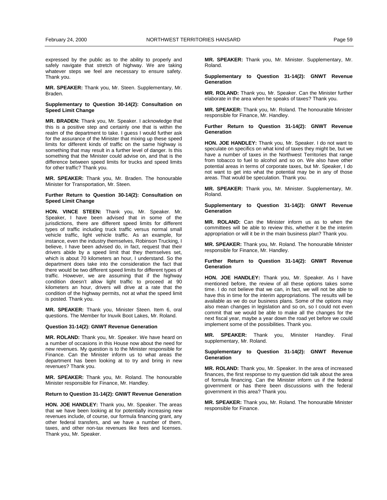expressed by the public as to the ability to properly and safely navigate that stretch of highway. We are taking whatever steps we feel are necessary to ensure safety. Thank you.

**MR. SPEAKER:** Thank you, Mr. Steen. Supplementary, Mr. Braden.

### **Supplementary to Question 30-14(2): Consultation on Speed Limit Change**

**MR. BRADEN:** Thank you, Mr. Speaker. I acknowledge that this is a positive step and certainly one that is within the realm of the department to take. I guess I would further ask for the assurance of the Minister that mixing up these speed limits for different kinds of traffic on the same highway is something that may result in a further level of danger. Is this something that the Minister could advise on, and that is the difference between speed limits for trucks and speed limits for other traffic? Thank you.

**MR. SPEAKER:** Thank you, Mr. Braden. The honourable Minister for Transportation, Mr. Steen.

### **Further Return to Question 30-14(2): Consultation on Speed Limit Change**

**HON. VINCE STEEN:** Thank you, Mr. Speaker. Mr. Speaker, I have been advised that in some of the jurisdictions, there are different speed limits for different types of traffic including truck traffic versus normal small vehicle traffic, light vehicle traffic. As an example, for instance, even the industry themselves, Robinson Trucking, I believe, I have been advised do, in fact, request that their drivers abide by a speed limit that they themselves set, which is about 70 kilometers an hour, I understand. So the department does take into the consideration the fact that there would be two different speed limits for different types of traffic. However, we are assuming that if the highway condition doesn't allow light traffic to proceed at 90 kilometers an hour, drivers will drive at a rate that the condition of the highway permits, not at what the speed limit is posted. Thank you.

**MR. SPEAKER:** Thank you, Minister Steen. Item 6, oral questions. The Member for Inuvik Boot Lakes, Mr. Roland.

#### **Question 31-14(2): GNWT Revenue Generation**

**MR. ROLAND:** Thank you, Mr. Speaker. We have heard on a number of occasions in this House now about the need for new revenues. My question is to the Minister responsible for Finance. Can the Minister inform us to what areas the department has been looking at to try and bring in new revenues? Thank you.

**MR. SPEAKER:** Thank you, Mr. Roland. The honourable Minister responsible for Finance, Mr. Handley.

### **Return to Question 31-14(2): GNWT Revenue Generation**

**HON. JOE HANDLEY:** Thank you, Mr. Speaker. The areas that we have been looking at for potentially increasing new revenues include, of course, our formula financing grant, any other federal transfers, and we have a number of them, taxes, and other non-tax revenues like fees and licenses. Thank you, Mr. Speaker.

**MR. SPEAKER:** Thank you, Mr. Minister. Supplementary, Mr. Roland.

**Supplementary to Question 31-14(2): GNWT Revenue Generation** 

**MR. ROLAND:** Thank you, Mr. Speaker. Can the Minister further elaborate in the area when he speaks of taxes? Thank you.

**MR. SPEAKER:** Thank you, Mr. Roland. The honourable Minister responsible for Finance, Mr. Handley.

**Further Return to Question 31-14(2): GNWT Revenue Generation** 

**HON. JOE HANDLEY:** Thank you, Mr. Speaker. I do not want to speculate on specifics on what kind of taxes they might be, but we have a number of taxes in the Northwest Territories that range from tobacco to fuel to alcohol and so on. We also have other potential areas in terms of corporate taxes, but Mr. Speaker, I do not want to get into what the potential may be in any of those areas. That would be speculation. Thank you.

**MR. SPEAKER:** Thank you, Mr. Minister. Supplementary, Mr. Roland.

**Supplementary to Question 31-14(2): GNWT Revenue Generation** 

**MR. ROLAND:** Can the Minister inform us as to when the committees will be able to review this, whether it be the interim appropriation or will it be in the main business plan? Thank you.

**MR. SPEAKER:** Thank you, Mr. Roland. The honourable Minister responsible for Finance, Mr. Handley.

**Further Return to Question 31-14(2): GNWT Revenue Generation** 

**HON. JOE HANDLEY:** Thank you, Mr. Speaker. As I have mentioned before, the review of all these options takes some time. I do not believe that we can, in fact, we will not be able to have this in time for the interim appropriations. The results will be available as we do our business plans. Some of the options may also mean changes in legislation and so on, so I could not even commit that we would be able to make all the changes for the next fiscal year, maybe a year down the road yet before we could implement some of the possibilities. Thank you.

**MR. SPEAKER:** Thank you, Minister Handley. Final supplementary, Mr. Roland.

### **Supplementary to Question 31-14(2): GNWT Revenue Generation**

**MR. ROLAND:** Thank you, Mr. Speaker. In the area of increased finances, the first response to my question did talk about the area of formula financing. Can the Minister inform us if the federal government or has there been discussions with the federal government in this area? Thank you.

**MR. SPEAKER:** Thank you, Mr. Roland. The honourable Minister responsible for Finance.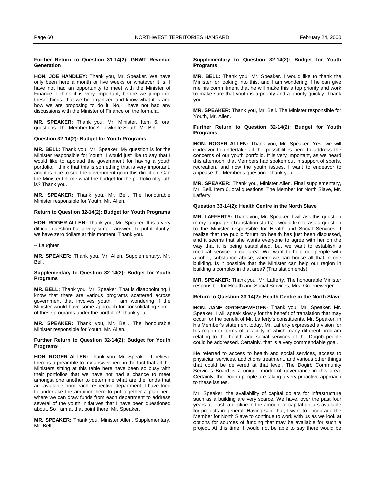### **Further Return to Question 31-14(2): GNWT Revenue Generation**

**HON. JOE HANDLEY:** Thank you, Mr. Speaker. We have only been here a month or five weeks or whatever it is. I have not had an opportunity to meet with the Minister of Finance. I think it is very important, before we jump into these things, that we be organized and know what it is and how we are proposing to do it. No, I have not had any discussions with the Minister of Finance on the formula.

**MR. SPEAKER:** Thank you, Mr. Minister. Item 6, oral questions. The Member for Yellowknife South, Mr. Bell.

# **Question 32-14(2): Budget for Youth Programs**

**MR. BELL:** Thank you, Mr. Speaker. My question is for the Minister responsible for Youth. I would just like to say that I would like to applaud the government for having a youth portfolio. I think that this is something that is very important, and it is nice to see the government go in this direction. Can the Minister tell me what the budget for the portfolio of youth is? Thank you.

**MR. SPEAKER:** Thank you, Mr. Bell. The honourable Minister responsible for Youth, Mr. Allen.

# **Return to Question 32-14(2): Budget for Youth Programs**

**HON. ROGER ALLEN:** Thank you, Mr. Speaker. It is a very difficult question but a very simple answer. To put it bluntly, we have zero dollars at this moment. Thank you.

-- Laughter

**MR. SPEAKER:** Thank you, Mr. Allen. Supplementary, Mr. Bell.

# **Supplementary to Question 32-14(2): Budget for Youth Programs**

**MR. BELL:** Thank you, Mr. Speaker. That is disappointing. I know that there are various programs scattered across government that involves youth. I am wondering if the Minister would have some approach for consolidating some of these programs under the portfolio? Thank you.

**MR. SPEAKER:** Thank you, Mr. Bell. The honourable Minister responsible for Youth, Mr. Allen.

### **Further Return to Question 32-14(2): Budget for Youth Programs**

**HON. ROGER ALLEN:** Thank you, Mr. Speaker. I believe there is a preamble to my answer here in the fact that all the Ministers sitting at this table here have been so busy with their portfolios that we have not had a chance to meet amongst one another to determine what are the funds that are available from each respective department. I have tried to undertake the ambition here to put together a plan here where we can draw funds from each department to address several of the youth initiatives that I have been questioned about. So I am at that point there, Mr. Speaker.

**MR. SPEAKER:** Thank you, Minister Allen. Supplementary, Mr. Bell.

### **Supplementary to Question 32-14(2): Budget for Youth Programs**

**MR. BELL:** Thank you, Mr. Speaker. I would like to thank the Minister for looking into this, and I am wondering if he can give me his commitment that he will make this a top priority and work to make sure that youth is a priority and a priority quickly. Thank you.

**MR. SPEAKER:** Thank you, Mr. Bell. The Minister responsible for Youth, Mr. Allen.

### **Further Return to Question 32-14(2): Budget for Youth Programs**

**HON. ROGER ALLEN:** Thank you, Mr. Speaker. Yes, we will endeavor to undertake all the possibilities here to address the concerns of our youth portfolio. It is very important, as we heard this afternoon, that Members had spoken out in support of sports, recreation, and now the youth issues. I want to endeavor to appease the Member's question. Thank you.

**MR. SPEAKER:** Thank you, Minister Allen. Final supplementary, Mr. Bell. Item 6, oral questions. The Member for North Slave, Mr. Lafferty.

### **Question 33-14(2): Health Centre in the North Slave**

**MR. LAFFERTY:** Thank you, Mr. Speaker. I will ask this question in my language. (Translation starts) I would like to ask a question to the Minister responsible for Health and Social Services. I realize that the public forum on health has just been discussed, and it seems that she wants everyone to agree with her on the way that it is being established, but we want to establish a medical service in our area. We want to help our people with alcohol, substance abuse, where we can house all that in one building. Is it possible that the Minister can help our region in building a complex in that area? (Translation ends)

**MR. SPEAKER:** Thank you, Mr. Lafferty. The honourable Minister responsible for Health and Social Services, Mrs. Groenewegen.

### **Return to Question 33-14(2): Health Centre in the North Slave**

**HON. JANE GROENEWEGEN:** Thank you, Mr. Speaker. Mr. Speaker, I will speak slowly for the benefit of translation that may occur for the benefit of Mr. Lafferty's constituents. Mr. Speaker, in his Member's statement today, Mr. Lafferty expressed a vision for his region in terms of a facility in which many different program relating to the health and social services of the Dogrib people could be addressed. Certainly, that is a very commendable goal.

He referred to access to health and social services, access to physician services, addictions treatment, and various other things that could be delivered at that level. The Dogirb Community Services Board is a unique model of governance in this area. Certainly, the Dogrib people are taking a very proactive approach to these issues.

Mr. Speaker, the availability of capital dollars for infrastructure such as a building are very scarce. We have, over the past four years at least, a decline in the amount of capital dollars available for projects in general. Having said that, I want to encourage the Member for North Slave to continue to work with us as we look at options for sources of funding that may be available for such a project. At this time, I would not be able to say there would be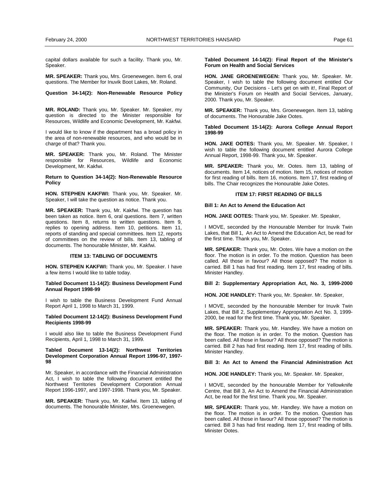<span id="page-20-0"></span>capital dollars available for such a facility. Thank you, Mr. Speaker.

**MR. SPEAKER:** Thank you, Mrs. Groenewegen. Item 6, oral questions. The Member for Inuvik Boot Lakes, Mr. Roland.

**Question 34-14(2): Non-Renewable Resource Policy** 

**MR. ROLAND:** Thank you, Mr. Speaker. Mr. Speaker, my question is directed to the Minister responsible for Resources, Wildlife and Economic Development, Mr. Kakfwi.

I would like to know if the department has a broad policy in the area of non-renewable resources, and who would be in charge of that? Thank you.

**MR. SPEAKER:** Thank you, Mr. Roland. The Minister responsible for Resources, Wildlife and Economic Development, Mr. Kakfwi.

**Return to Question 34-14(2): Non-Renewable Resource Policy** 

**HON. STEPHEN KAKFWI:** Thank you, Mr. Speaker. Mr. Speaker, I will take the question as notice. Thank you.

**MR. SPEAKER:** Thank you, Mr. Kakfwi. The question has been taken as notice. Item 6, oral questions. Item 7, written questions. Item 8, returns to written questions. Item 9, replies to opening address. Item 10, petitions. Item 11, reports of standing and special committees. Item 12, reports of committees on the review of bills. Item 13, tabling of documents. The honourable Minister, Mr. Kakfwi.

#### **ITEM 13: TABLING OF DOCUMENTS**

**HON. STEPHEN KAKFWI:** Thank you, Mr. Speaker. I have a few items I would like to table today.

### **Tabled Document 11-14(2): Business Development Fund Annual Report 1998-99**

I wish to table the Business Development Fund Annual Report April 1, 1998 to March 31, 1999.

**Tabled Document 12-14(2): Business Development Fund Recipients 1998-99** 

I would also like to table the Business Development Fund Recipients, April 1, 1998 to March 31, 1999.

# **Tabled Document 13-14(2): Northwest Territories Development Corporation Annual Report 1996-97, 1997- 98 (Kakfwi)**

Mr. Speaker, in accordance with the Financial Administration Act, I wish to table the following document entitled the Northwest Territories Development Corporation Annual Report 1996-1997, and 1997-1998. Thank you, Mr. Speaker.

**MR. SPEAKER:** Thank you, Mr. Kakfwi. Item 13, tabling of documents. The honourable Minister, Mrs. Groenewegen.

**Tabled Document 14-14(2): Final Report of the Minister's Forum on Health and Social Services** 

**HON. JANE GROENEWEGEN:** Thank you, Mr. Speaker. Mr. Speaker, I wish to table the following document entitled Our Community, Our Decisions - Let's get on with it!, Final Report of the Minister's Forum on Health and Social Services, January, 2000. Thank you, Mr. Speaker.

**MR. SPEAKER:** Thank you, Mrs. Groenewegen. Item 13, tabling of documents. The Honourable Jake Ootes.

### **Tabled Document 15-14(2): Aurora College Annual Report 1998-99 (Ootes)**

**HON. JAKE OOTES:** Thank you, Mr. Speaker. Mr. Speaker, I wish to table the following document entitled Aurora College Annual Report, 1998-99. Thank you, Mr. Speaker.

**MR. SPEAKER:** Thank you, Mr. Ootes. Item 13, tabling of documents. Item 14, notices of motion. Item 15, notices of motion for first reading of bills. Item 16, motions. Item 17, first reading of bills. The Chair recognizes the Honourable Jake Ootes.

### **ITEM 17: FIRST READING OF BILLS**

# **Bill 1: An Act to Amend the Education Act**

**HON. JAKE OOTES:** Thank you, Mr. Speaker. Mr. Speaker,

I MOVE, seconded by the Honourable Member for Inuvik Twin Lakes, that Bill 1, An Act to Amend the Education Act, be read for the first time. Thank you, Mr. Speaker.

**MR. SPEAKER:** Thank you, Mr. Ootes. We have a motion on the floor. The motion is in order. To the motion. Question has been called. All those in favour? All those opposed? The motion is carried. Bill 1 has had first reading. Item 17, first reading of bills. Minister Handley.

# **Bill 2: Supplementary Appropriation Act, No. 3, 1999-2000**

**HON. JOE HANDLEY:** Thank you, Mr. Speaker. Mr. Speaker,

I MOVE, seconded by the honourable Member for Inuvik Twin Lakes, that Bill 2, Supplementary Appropriation Act No. 3, 1999- 2000, be read for the first time. Thank you, Mr. Speaker.

**MR. SPEAKER:** Thank you, Mr. Handley. We have a motion on the floor. The motion is in order. To the motion. Question has been called. All those in favour? All those opposed? The motion is carried. Bill 2 has had first reading. Item 17, first reading of bills. Minister Handley.

# **Bill 3: An Act to Amend the Financial Administration Act**

**HON. JOE HANDLEY:** Thank you, Mr. Speaker. Mr. Speaker,

I MOVE, seconded by the honourable Member for Yellowknife Centre, that Bill 3, An Act to Amend the Financial Administration Act, be read for the first time. Thank you, Mr. Speaker.

**MR. SPEAKER:** Thank you, Mr. Handley. We have a motion on the floor. The motion is in order. To the motion. Question has been called. All those in favour? All those opposed? The motion is carried. Bill 3 has had first reading. Item 17, first reading of bills. Minister Ootes.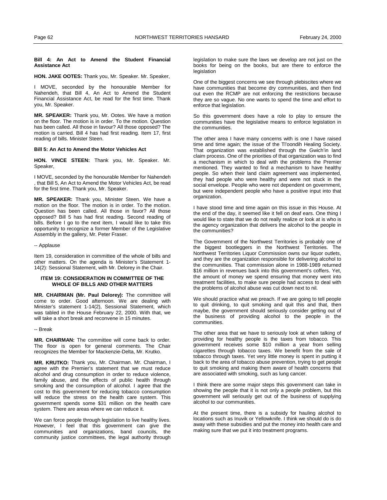#### <span id="page-21-0"></span>**Bill 4: An Act to Amend the Student Financial Assistance Act**

### **HON. JAKE OOTES:** Thank you, Mr. Speaker. Mr. Speaker,

I MOVE, seconded by the honourable Member for Nahendeh, that Bill 4, An Act to Amend the Student Financial Assistance Act, be read for the first time. Thank you, Mr. Speaker.

**MR. SPEAKER:** Thank you, Mr. Ootes. We have a motion on the floor. The motion is in order. To the motion. Question has been called. All those in favour? All those opposed? The motion is carried. Bill 4 has had first reading. Item 17, first reading of bills. Minister Steen.

#### **Bill 5: An Act to Amend the Motor Vehicles Act**

**HON. VINCE STEEN:** Thank you, Mr. Speaker. Mr. Speaker,

I MOVE, seconded by the honourable Member for Nahendeh , that Bill 5, An Act to Amend the Motor Vehicles Act, be read for the first time. Thank you, Mr. Speaker.

**MR. SPEAKER:** Thank you, Minister Steen. We have a motion on the floor. The motion is in order. To the motion. Question has been called. All those in favor? All those opposed? Bill 5 has had first reading. Second reading of bills. Before I go to the next item, I would like to take this opportunity to recognize a former Member of the Legislative Assembly in the gallery, Mr. Peter Fraser.

### -- Applause

Item 19, consideration in committee of the whole of bills and other matters. On the agenda is Minister's Statement 1- 14(2): Sessional Statement, with Mr. Delorey in the Chair.

# **ITEM 19: CONSIDERATION IN COMMITTEE OF THE WHOLE OF BILLS AND OTHER MATTERS**

**MR. CHAIRMAN (Mr. Paul Delorey):** The committee will come to order. Good afternoon. We are dealing with Minister's statement 1-14(2), Sessional Statement, which was tabled in the House February 22, 2000. With that, we will take a short break and reconvene in 15 minutes.

### -- Break

**MR. CHAIRMAN:** The committee will come back to order. The floor is open for general comments. The Chair recognizes the Member for Mackenzie-Delta, Mr. Krutko.

**MR. KRUTKO:** Thank you, Mr. Chairman. Mr. Chairman, I agree with the Premier's statement that we must reduce alcohol and drug consumption in order to reduce violence, family abuse, and the effects of public health through smoking and the consumption of alcohol. I agree that the cost to this government for reducing tobacco consumption will reduce the stress on the health care system. This government spends some \$31 million on the health care system. There are areas where we can reduce it.

We can force people through legislation to live healthy lives. However, I feel that this government can give the communities and organizations, band councils, the community justice committees, the legal authority through legislation to make sure the laws we develop are not just on the books for being on the books, but are there to enforce the legislation

One of the biggest concerns we see through plebiscites where we have communities that become dry communities, and then find out even the RCMP are not enforcing the restrictions because they are so vague. No one wants to spend the time and effort to enforce that legislation.

So this government does have a role to play to ensure the communities have the legislative means to enforce legislation in the communities.

The other area I have many concerns with is one I have raised time and time again; the issue of the Tl'oondih Healing Society. That organization was established through the Gwich'in land claim process. One of the priorities of that organization was to find a mechanism in which to deal with the problems the Premier mentioned. They wanted to find a mechanism to have healthy people. So when their land claim agreement was implemented, they had people who were healthy and were not stuck in the social envelope. People who were not dependent on government, but were independent people who have a positive input into that organization.

I have stood time and time again on this issue in this House. At the end of the day, it seemed like it fell on deaf ears. One thing I would like to state that we do not really realize or look at is who is the agency organization that delivers the alcohol to the people in the communities?

The Government of the Northwest Territories is probably one of the biggest bootleggers in the Northwest Territories. The Northwest Territories Liquor Commission owns our liquor outlets, and they are the organization responsible for delivering alcohol to the communities. That commission alone in 1988-1989 returned \$16 million in revenues back into this government's coffers. Yet, the amount of money we spend ensuring that money went into treatment facilities, to make sure people had access to deal with the problems of alcohol abuse was cut down next to nil.

We should practice what we preach. If we are going to tell people to quit drinking, to quit smoking and quit this and that, then maybe, the government should seriously consider getting out of the business of providing alcohol to the people in the communities.

The other area that we have to seriously look at when talking of providing for healthy people is the taxes from tobacco. This government receives some \$10 million a year from selling cigarettes through tobacco taxes. We benefit from the sale of tobacco through taxes. Yet very little money is spent in putting it back to the area of tobacco abuse prevention, trying to get people to quit smoking and making them aware of health concerns that are associated with smoking, such as lung cancer.

I think there are some major steps this government can take in showing the people that it is not only a people problem, but this government will seriously get out of the business of supplying alcohol to our communities.

At the present time, there is a subsidy for hauling alcohol to locations such as Inuvik or Yellowknife. I think we should do is do away with these subsidies and put the money into health care and making sure that we put it into treatment programs.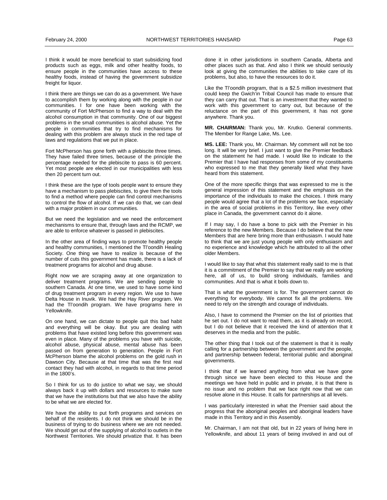I think it would be more beneficial to start subsidizing food products such as eggs, milk and other healthy foods, to ensure people in the communities have access to these healthy foods, instead of having the government subsidize freight for liquor.

I think there are things we can do as a government. We have to accomplish them by working along with the people in our communities. I for one have been working with the community of Fort McPherson to find a way to deal with the alcohol consumption in that community. One of our biggest problems in the small communities is alcohol abuse. Yet the people in communities that try to find mechanisms for dealing with this problem are always stuck in the red tape of laws and regulations that we put in place.

Fort McPherson has gone forth with a plebiscite three times. They have failed three times, because of the principle the percentage needed for the plebiscite to pass is 60 percent. Yet most people are elected in our municipalities with less then 20 percent turn out.

I think these are the type of tools people want to ensure they have a mechanism to pass plebiscites, to give them the tools to find a method where people can find control mechanisms to control the flow of alcohol. If we can do that, we can deal with a major problem in our communities.

But we need the legislation and we need the enforcement mechanisms to ensure that, through laws and the RCMP, we are able to enforce whatever is passed in plebiscites.

In the other area of finding ways to promote healthy people and healthy communities, I mentioned the Tl'oondih Healing Society. One thing we have to realize is because of the number of cuts this government has made, there is a lack of treatment programs for alcohol and drug abuse.

Right now we are scraping away at one organization to deliver treatment programs. We are sending people to southern Canada. At one time, we used to have some kind of drug treatment program in every region. We use to have Delta House in Inuvik. We had the Hay River program. We had the Tl'oondih program. We have programs here in Yellowknife.

On one hand, we can dictate to people quit this bad habit and everything will be okay. But you are dealing with problems that have existed long before this government was even in place. Many of the problems you have with suicide, alcohol abuse, physical abuse, mental abuse has been passed on from generation to generation. People in Fort McPherson blame the alcohol problems on the gold rush in Dawson City. Because at that time that was the first real contact they had with alcohol, in regards to that time period in the 1800's.

So I think for us to do justice to what we say, we should always back it up with dollars and resources to make sure that we have the institutions but that we also have the ability to be what we are elected for.

We have the ability to put forth programs and services on behalf of the residents. I do not think we should be in the business of trying to do business where we are not needed. We should get out of the supplying of alcohol to outlets in the Northwest Territories. We should privatize that. It has been done it in other jurisdictions in southern Canada, Alberta and other places such as that. And also I think we should seriously look at giving the communities the abilities to take care of its problems, but also, to have the resources to do it.

Like the Tl'oondih program, that is a \$2.5 million investment that could keep the Gwich'in Tribal Council has made to ensure that they can carry that out. That is an investment that they wanted to work with this government to carry out, but because of the reluctance on the part of this government, it has not gone anywhere. Thank you.

**MR. CHAIRMAN:** Thank you, Mr. Krutko. General comments. The Member for Range Lake, Ms. Lee.

**MS. LEE:** Thank you, Mr. Chairman. My comment will not be too long. It will be very brief. I just want to give the Premier feedback on the statement he had made. I would like to indicate to the Premier that I have had responses from some of my constituents who expressed to me that they generally liked what they have heard from this statement.

One of the more specific things that was expressed to me is the general impression of this statement and the emphasis on the importance of the individuals to make the choices. I think many people would agree that a lot of the problems we face, especially in the area of social problems in this Territory, like every other place in Canada, the government cannot do it alone.

If I may say, I do have a bone to pick with the Premier in his reference to the new Members. Because I do believe that the new Members that are here bring more than enthusiasm. I would hate to think that we are just young people with only enthusiasm and no experience and knowledge which he attributed to all the other older Members.

I would like to say that what this statement really said to me is that it is a commitment of the Premier to say that we really are working here, all of us, to build strong individuals, families and communities. And that is what it boils down to.

That is what the government is for. The government cannot do everything for everybody. We cannot fix all the problems. We need to rely on the strength and courage of individuals.

Also, I have to commend the Premier on the list of priorities that he set out. I do not want to read them, as it is already on record, but I do not believe that it received the kind of attention that it deserves in the media and from the public.

The other thing that I took out of the statement is that it is really calling for a partnership between the government and the people, and partnership between federal, territorial public and aboriginal governments.

I think that if we learned anything from what we have gone through since we have been elected to this House and the meetings we have held in public and in private, it is that there is no issue and no problem that we face right now that we can resolve alone in this House. It calls for partnerships at all levels.

I was particularly interested in what the Premier said about the progress that the aboriginal peoples and aboriginal leaders have made in this Territory and in this Assembly.

Mr. Chairman, I am not that old, but in 22 years of living here in Yellowknife, and about 11 years of being involved in and out of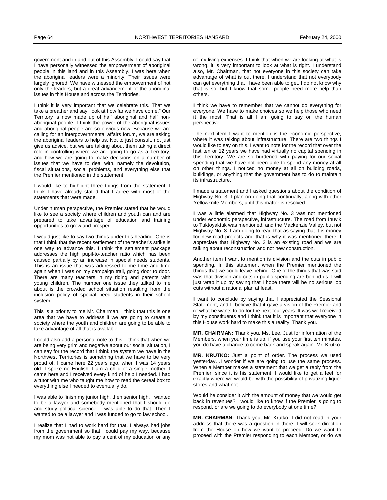government and in and out of this Assembly, I could say that I have personally witnessed the empowerment of aboriginal people in this land and in this Assembly. I was here when the aboriginal leaders were a minority. Their issues were largely ignored. We have witnessed the empowerment of not only the leaders, but a great advancement of the aboriginal issues in this House and across the Territories.

I think it is very important that we celebrate this. That we take a breather and say "look at how far we have come." Our Territory is now made up of half aboriginal and half nonaboriginal people. I think the power of the aboriginal issues and aboriginal people are so obvious now. Because we are calling for an intergovernmental affairs forum, we are asking the aboriginal leaders to help us. Not to just consult, not just give us advice, but we are talking about them taking a direct role in controlling where we are going to go as a Territory, and how we are going to make decisions on a number of issues that we have to deal with, namely the devolution, fiscal situations, social problems, and everything else that the Premier mentioned in the statement.

I would like to highlight three things from the statement. I think I have already stated that I agree with most of the statements that were made.

Under human perspective, the Premier stated that he would like to see a society where children and youth can and are prepared to take advantage of education and training opportunities to grow and prosper.

I would just like to say two things under this heading. One is that I think that the recent settlement of the teacher's strike is one way to advance this. I think the settlement package addresses the high pupil-to-teacher ratio which has been caused partially by an increase in special needs students. This is an issue that was addressed to me time and time again when I was on my campaign trail, going door to door. There are many teachers in my riding and parents with young children. The number one issue they talked to me about is the crowded school situation resulting from the inclusion policy of special need students in their school system.

This is a priority to me Mr. Chairman, I think that this is one area that we have to address if we are going to create a society where the youth and children are going to be able to take advantage of all that is available.

I could also add a personal note to this. I think that when we are being very grim and negative about our social situation, I can say for the record that I think the system we have in the Northwest Territories is something that we have to be very proud of. I came here 22 years ago, when I was 14 years old. I spoke no English. I am a child of a single mother. I came here and I received every kind of help I needed. I had a tutor with me who taught me how to read the cereal box to everything else I needed to eventually do.

I was able to finish my junior high, then senior high. I wanted to be a lawyer and somebody mentioned that I should go and study political science. I was able to do that. Then I wanted to be a lawyer and I was funded to go to law school.

I realize that I had to work hard for that. I always had jobs from the government so that I could pay my way, because my mom was not able to pay a cent of my education or any of my living expenses. I think that when we are looking at what is wrong, it is very important to look at what is right. I understand also, Mr. Chairman, that not everyone in this society can take advantage of what is out there. I understand that not everybody can get everything that I have been able to get. I do not know why that is so, but I know that some people need more help than others.

I think we have to remember that we cannot do everything for everyone. We have to make choices so we help those who need it the most. That is all I am going to say on the human perspective.

The next item I want to mention is the economic perspective, where it was talking about infrastructure. There are two things I would like to say on this. I want to note for the record that over the last ten or 12 years we have had virtually no capital spending in this Territory. We are so burdened with paying for our social spending that we have not been able to spend any money at all on other things. I noticed no money at all on building roads, buildings, or anything that the government has to do to maintain its infrastructure.

I made a statement and I asked questions about the condition of Highway No. 3. I plan on doing that continually, along with other Yellowknife Members, until this matter is resolved.

I was a little alarmed that Highway No. 3 was not mentioned under economic perspective, infrastructure. The road from Inuvik to Tuktoyaktuk was mentioned, and the Mackenzie Valley, but not Highway No. 3. I am going to read that as saying that it is money for new road projects and that is why it was mentioned there. I appreciate that Highway No. 3 is an existing road and we are talking about reconstruction and not new construction.

Another item I want to mention is division and the cuts in public spending. In this statement when the Premier mentioned the things that we could leave behind. One of the things that was said was that division and cuts in public spending are behind us. I will just wrap it up by saying that I hope there will be no serious job cuts without a rational plan at least.

I want to conclude by saying that I appreciated the Sessional Statement, and I believe that it gave a vision of the Premier and of what he wants to do for the next four years. It was well received by my constituents and I think that it is important that everyone in this House work hard to make this a reality. Thank you.

**MR. CHAIRMAN:** Thank you, Ms. Lee. Just for information of the Members, when your time is up, if you use your first ten minutes, you do have a chance to come back and speak again. Mr. Krutko.

**MR. KRUTKO:** Just a point of order. The process we used yesterday…I wonder if we are going to use the same process. When a Member makes a statement that we get a reply from the Premier, since it is his statement. I would like to get a feel for exactly where we would be with the possibility of privatizing liquor stores and what not.

Would he consider it with the amount of money that we would get back in revenues? I would like to know if the Premier is going to respond, or are we going to do everybody at one time?

**MR. CHAIRMAN:** Thank you, Mr. Krutko. I did not read in your address that there was a question in there. I will seek direction from the House on how we want to proceed. Do we want to proceed with the Premier responding to each Member, or do we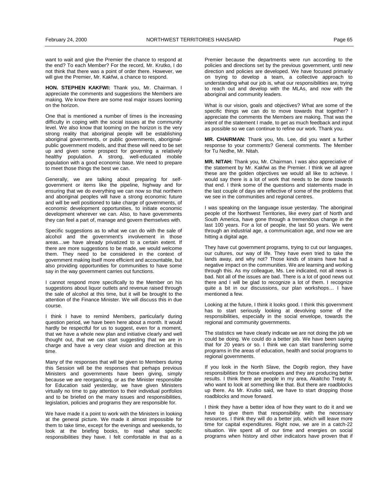want to wait and give the Premier the chance to respond at the end? To each Member? For the record, Mr. Krutko, I do not think that there was a point of order there. However, we will give the Premier, Mr. Kakfwi, a chance to respond.

**HON. STEPHEN KAKFWI:** Thank you, Mr. Chairman. I appreciate the comments and suggestions the Members are making. We know there are some real major issues looming on the horizon.

One that is mentioned a number of times is the increasing difficulty in coping with the social issues at the community level. We also know that looming on the horizon is the very strong reality that aboriginal people will be establishing aboriginal governments, or public governments, aboriginalpublic government models, and that these will need to be set up and given some prospect for governing a relatively healthy population. A strong, well-educated mobile population with a good economic base. We need to prepare to meet those things the best we can.

Generally, we are talking about preparing for selfgovernment or items like the pipeline, highway and for ensuring that we do everything we can now so that northern and aboriginal peoples will have a strong economic future and will be well positioned to take charge of governments, of economic development opportunities, to initiate economic development wherever we can. Also, to have governments they can feel a part of, manage and govern themselves with.

Specific suggestions as to what we can do with the sale of alcohol and the government's involvement in those areas…we have already privatized to a certain extent. If there are more suggestions to be made, we would welcome them. They need to be considered in the context of government making itself more efficient and accountable, but also providing opportunities for communities to have some say in the way government carries out functions.

I cannot respond more specifically to the Member on his suggestions about liquor outlets and revenue raised through the sale of alcohol at this time, but it will be brought to the attention of the Finance Minister. We will discuss this in due course.

I think I have to remind Members, particularly during question period, we have been here about a month. It would hardly be respectful for us to suggest, even for a moment, that we have a whole new plan and initiative clearly and well thought out, that we can start suggesting that we are in charge and have a very clear vision and direction at this time.

Many of the responses that will be given to Members during this Session will be the responses that perhaps previous Ministers and governments have been giving, simply because we are reorganizing, or as the Minister responsible for Education said yesterday, we have given Ministers virtually no time to pay attention to their individual portfolios and to be briefed on the many issues and responsibilities, legislation, policies and programs they are responsible for.

We have made it a point to work with the Ministers in looking at the general picture. We made it almost impossible for them to take time, except for the evenings and weekends, to look at the briefing books, to read what specific responsibilities they have. I felt comfortable in that as a Premier because the departments were run according to the policies and directions set by the previous government, until new direction and policies are developed. We have focused primarily on trying to develop a team, a collective approach to understanding what our job is, what our responsibilities are, trying to reach out and develop with the MLAs, and now with the aboriginal and community leaders.

What is our vision, goals and objectives? What are some of the specific things we can do to move towards that together? I appreciate the comments the Members are making. That was the intent of the statement I made, to get as much feedback and input as possible so we can continue to refine our work. Thank you.

**MR. CHAIRMAN:** Thank you, Ms. Lee, did you want a further response to your comments? General comments. The Member for Tu Nedhe, Mr. Nitah.

**MR. NITAH:** Thank you, Mr. Chairman. I was also appreciative of the statement by Mr. Kakfwi as the Premier. I think we all agree these are the golden objectives we would all like to achieve. I would say there is a lot of work that needs to be done towards that end. I think some of the questions and statements made in the last couple of days are reflective of some of the problems that we see in the communities and regional centres.

I was speaking on the language issue yesterday. The aboriginal people of the Northwest Territories, like every part of North and South America, have gone through a tremendous change in the last 100 years. For a lot of people, the last 50 years. We went through an industrial age, a communication age, and now we are hitting a digital age.

They have cut government programs, trying to cut our languages, our cultures, our way of life. They have even tried to take the lands away, and why not? Those kinds of strains have had a negative impact on the communities. We are learning and working through this. As my colleague, Ms. Lee indicated, not all news is bad. Not all of the issues are bad. There is a lot of good news out there and I will be glad to recognize a lot of them. I recognize quite a bit in our discussions, our plan workshops… I have mentioned a few.

Looking at the future, I think it looks good. I think this government has to start seriously looking at devolving some of the responsibilities, especially in the social envelope, towards the regional and community governments.

The statistics we have clearly indicate we are not doing the job we could be doing. We could do a better job. We have been saying that for 20 years or so. I think we can start transferring some programs in the areas of education, health and social programs to regional governments.

If you look in the North Slave, the Dogrib region, they have responsibilities for those envelopes and they are producing better results. I think there are people in my area, Akaitcho Treaty 8, who want to look at something like that. But there are roadblocks up there. As Mr. Krutko said, we have to start dropping those roadblocks and move forward.

I think they have a better idea of how they want to do it and we have to give them that responsibility with the necessary resources. I think they will do a better job, which will leave more time for capital expenditures. Right now, we are in a catch-22 situation. We spent all of our time and energies on social programs when history and other indicators have proven that if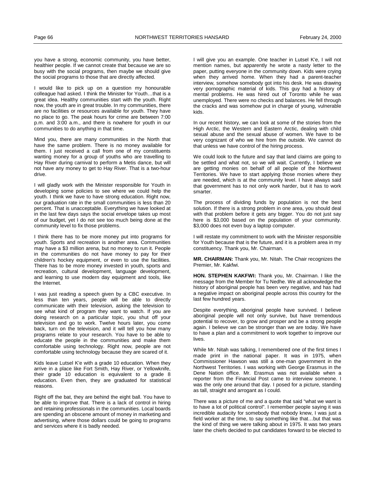you have a strong, economic community, you have better, healthier people. If we cannot create that because we are so busy with the social programs, then maybe we should give the social programs to those that are directly affected.

I would like to pick up on a question my honourable colleague had asked. I think the Minister for Youth…that is a great idea. Healthy communities start with the youth. Right now, the youth are in great trouble. In my communities, there are no facilities or resources available for youth. They have no place to go. The peak hours for crime are between 7:00 p.m. and 3:00 a.m., and there is nowhere for youth in our communities to do anything in that time.

Mind you, there are many communities in the North that have the same problem. There is no money available for them. I just received a call from one of my constituents wanting money for a group of youths who are travelling to Hay River during carnival to perform a Metis dance, but will not have any money to get to Hay River. That is a two-hour drive.

I will gladly work with the Minister responsible for Youth in developing some policies to see where we could help the youth. I think we have to have strong education. Right now, our graduation rate in the small communities is less than 20 percent. That is unacceptable. Everything we have looked at in the last few days says the social envelope takes up most of our budget, yet I do not see too much being done at the community level to fix those problems.

I think there has to be more money put into programs for youth. Sports and recreation is another area. Communities may have a \$3 million arena, but no money to run it. People in the communities do not have money to pay for their children's hockey equipment, or even to use the facilities. There has to be more money invested in youth, sports and recreation, cultural development, language development, and learning to use modern day equipment and tools, like the Internet.

I was just reading a speech given by a CBC executive. In less than ten years, people will be able to directly communicate with their television, asking the television to see what kind of program they want to watch. If you are doing research on a particular topic, you shut off your television and go to work. Twelve hours later, you come back, turn on the television, and it will tell you how many programs relate to your research. You have to be able to educate the people in the communities and make them comfortable using technology. Right now, people are not comfortable using technology because they are scared of it.

Kids leave Lutsel K'e with a grade 10 education. When they arrive in a place like Fort Smith, Hay River, or Yellowknife, their grade 10 education is equivalent to a grade 8 education. Even then, they are graduated for statistical reasons.

Right off the bat, they are behind the eight ball. You have to be able to improve that. There is a lack of control in hiring and retaining professionals in the communities. Local boards are spending an obscene amount of money in marketing and advertising, where those dollars could be going to programs and services where it is badly needed.

I will give you an example. One teacher in Lutsel K'e, I will not mention names, but apparently he wrote a nasty letter to the paper, putting everyone in the community down. Kids were crying when they arrived home. When they had a parent-teacher interview, somehow somebody got into his desk. He was drawing very pornographic material of kids. This guy had a history of mental problems. He was hired out of Toronto while he was unemployed. There were no checks and balances. He fell through the cracks and was somehow put in charge of young, vulnerable kids.

In our recent history, we can look at some of the stories from the High Arctic, the Western and Eastern Arctic, dealing with child sexual abuse and the sexual abuse of women. We have to be very cognizant of who we hire from the outside. We cannot do that unless we have control of the hiring process.

We could look to the future and say that land claims are going to be settled and what not, so we will wait. Currently, I believe we are getting monies on behalf of all people of the Northwest Territories. We have to start applying those monies where they are needed, which is at the community level. I have always said that government has to not only work harder, but it has to work smarter.

The process of dividing funds by population is not the best solution. If there is a strong problem in one area, you should deal with that problem before it gets any bigger. You do not just say here is \$3,000 based on the population of your community. \$3,000 does not even buy a laptop computer.

I will restate my commitment to work with the Minister responsible for Youth because that is the future, and it is a problem area in my constituency. Thank you, Mr. Chairman.

**MR. CHAIRMAN:** Thank you, Mr. Nitah. The Chair recognizes the Premier, Mr. Kakfwi.

**HON. STEPHEN KAKFWI:** Thank you, Mr. Chairman. I like the message from the Member for Tu Nedhe. We all acknowledge the history of aboriginal people has been very negative, and has had a negative impact on aboriginal people across this country for the last few hundred years.

Despite everything, aboriginal people have survived. I believe aboriginal people will not only survive, but have tremendous potential to recover, to grow and prosper and be a strong people again. I believe we can be stronger than we are today. We have to have a plan and a commitment to work together to improve our lives.

While Mr. Nitah was talking, I remembered one of the first times I made print in the national paper. It was in 1975, when Commissioner Hawson was still a one-man government in the Northwest Territories. I was working with George Erasmus in the Dene Nation office. Mr. Erasmus was not available when a reporter from the Financial Post came to interview someone. I was the only one around that day. I posed for a picture, standing as tall, straight and arrogant as I could.

There was a picture of me and a quote that said "what we want is to have a lot of political control". I remember people saying it was incredible audacity for somebody that nobody knew, I was just a field worker at the time, to say something like that…but that was the kind of thing we were talking about in 1975. It was two years later the chiefs decided to put candidates forward to be elected to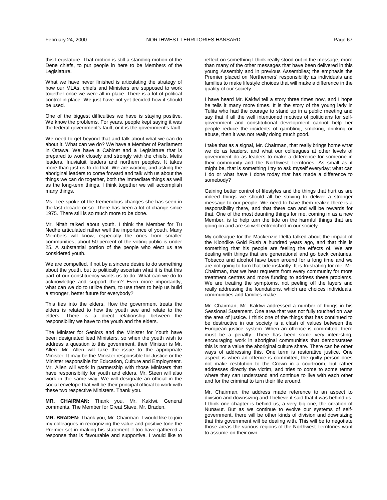this Legislature. That motion is still a standing motion of the Dene chiefs, to put people in here to be Members of the Legislature.

What we have never finished is articulating the strategy of how our MLAs, chiefs and Ministers are supposed to work together once we were all in place. There is a lot of political control in place. We just have not yet decided how it should be used.

One of the biggest difficulties we have is staying positive. We know the problems. For years, people kept saying it was the federal government's fault, or it is the government's fault.

We need to get beyond that and talk about what we can do about it. What can we do? We have a Member of Parliament in Ottawa. We have a Cabinet and a Legislature that is prepared to work closely and strongly with the chiefs, Metis leaders, Inuvialuit leaders and northern peoples. It takes more than just us to do that. We are waiting, and asking the aboriginal leaders to come forward and talk with us about the things we can do together, both the immediate things as well as the long-term things. I think together we will accomplish many things.

Ms. Lee spoke of the tremendous changes she has seen in the last decade or so. There has been a lot of change since 1975. There still is so much more to be done.

Mr. Nitah talked about youth. I think the Member for Tu Nedhe articulated rather well the importance of youth. Many Members will know, especially the ones from smaller communities, about 50 percent of the voting public is under 25. A substantial portion of the people who elect us are considered youth.

We are compelled, if not by a sincere desire to do something about the youth, but to politically ascertain what it is that this part of our constituency wants us to do. What can we do to acknowledge and support them? Even more importantly, what can we do to utilize them, to use them to help us build a stronger, better future for everybody?

This ties into the elders. How the government treats the elders is related to how the youth see and relate to the elders. There is a direct relationship between the responsibility we have to the youth and the elders.

The Minister for Seniors and the Minister for Youth have been designated lead Ministers, so when the youth wish to address a question to this government, their Minister is Mr. Allen. Mr. Allen will take the issue to the appropriate Minister. It may be the Minister responsible for Justice or the Minister responsible for Education, Culture and Employment. Mr. Allen will work in partnership with those Ministers that have responsibility for youth and elders. Mr. Steen will also work in the same way. We will designate an official in the social envelope that will be their principal official to work with these two respective Ministers. Thank you.

**MR. CHAIRMAN:** Thank you, Mr. Kakfwi. General comments. The Member for Great Slave, Mr. Braden.

**MR. BRADEN:** Thank you, Mr. Chairman. I would like to join my colleagues in recognizing the value and positive tone the Premier set in making his statement. I too have gathered a response that is favourable and supportive. I would like to reflect on something I think really stood out in the message, more than many of the other messages that have been delivered in this young Assembly and in previous Assemblies; the emphasis the Premier placed on Northerners' responsibility as individuals and families to make lifestyle choices that will make a difference in the quality of our society.

I have heard Mr. Kakfwi tell a story three times now, and I hope he tells it many more times. It is the story of the young lady in Tulita who had the courage to stand up in a public meeting and say that if all the well intentioned motives of politicians for selfgovernment and constitutional development cannot help her people reduce the incidents of gambling, smoking, drinking or abuse, then it was not really doing much good.

I take that as a signal, Mr. Chairman, that really brings home what we do as leaders, and what our colleagues at other levels of government do as leaders to make a difference for someone in their community and the Northwest Territories. As small as it might be, that is something I try to ask myself everyday; what can I do or what have I done today that has made a difference to somebody?

Gaining better control of lifestyles and the things that hurt us are indeed things we should all be striving to deliver a stronger message to our people. We need to have them realize there is a responsibility there, and that there can and will be rewards for that. One of the most daunting things for me, coming in as a new Member, is to help turn the tide on the harmful things that are going on and are so well entrenched in our society.

My colleague for the Mackenzie Delta talked about the impact of the Klondike Gold Rush a hundred years ago, and that this is something that his people are feeling the effects of. We are dealing with things that are generational and go back centuries. Tobacco and alcohol have been around for a long time and we are not going to turn that tide instantly. It is frustrating for me, Mr. Chairman, that we hear requests from every community for more treatment centres and more funding to address these problems. We are treating the symptoms, not peeling off the layers and really addressing the foundations, which are choices individuals, communities and families make.

Mr. Chairman, Mr. Kakfwi addressed a number of things in his Sessional Statement. One area that was not fully touched on was the area of justice. I think one of the things that has continued to be destructive in our society is a clash of values between the European justice system. When an offence is committed, there must be a penalty. There has been some very interesting, encouraging work in aboriginal communities that demonstrates this is not a value the aboriginal culture share. There can be other ways of addressing this. One term is restorative justice. One aspect is when an offence is committed, the guilty person does not make restitution to the Crown in a courtroom, but rather addresses directly the victim, and tries to come to some terms where they can understand and continue to live with each other and for the criminal to turn their life around.

Mr. Chairman, the address made reference to an aspect to division and downsizing and I believe it said that it was behind us. I think one chapter is behind us, a very big one, the creation of Nunavut. But as we continue to evolve our systems of selfgovernment, there will be other kinds of division and downsizing that this government will be dealing with. This will be to negotiate those areas the various regions of the Northwest Territories want to assume on their own.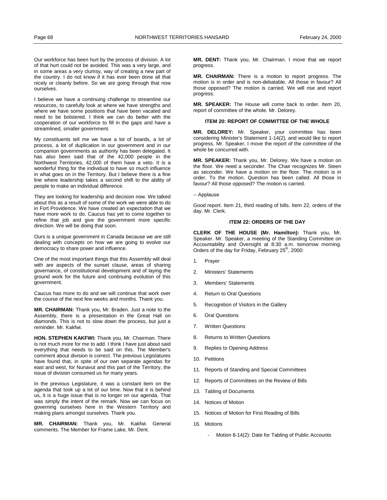<span id="page-27-0"></span>Our workforce has been hurt by the process of division. A lot of that hurt could not be avoided. This was a very large, and in some areas a very clumsy, way of creating a new part of the country. I do not know if it has ever been done all that nicely or cleanly before. So we are going through that now ourselves.

I believe we have a continuing challenge to streamline our resources, to carefully look at where we have strengths and where we have some positions that have been vacated and need to be bolstered. I think we can do better with the cooperation of our workforce to fill in the gaps and have a streamlined, smaller government.

My constituents tell me we have a lot of boards, a lot of process, a lot of duplication in our government and in our companion governments as authority has been delegated. It has also been said that of the 42,000 people in the Northwest Territories, 42,000 of them have a veto. It is a wonderful thing for the individual to have so much influence in what goes on in the Territory. But I believe there is a fine line where leadership takes a second shift to the ability of people to make an individual difference.

They are looking for leadership and decision now. We talked about this as a result of some of the work we were able to do in Fort Providence. We have created an expectation that we have more work to do. Caucus has yet to come together to refine that job and give the government more specific direction. We will be doing that soon.

Ours is a unique government in Canada because we are still dealing with concepts on how we are going to evolve our democracy to share power and influence.

One of the most important things that this Assembly will deal with are aspects of the sunset clause, areas of sharing governance, of constitutional development and of laying the ground work for the future and continuing evolution of this government.

Caucus has more to do and we will continue that work over the course of the next few weeks and months. Thank you.

**MR. CHAIRMAN:** Thank you, Mr. Braden. Just a note to the Assembly, there is a presentation in the Great Hall on diamonds. This is not to slow down the process, but just a reminder. Mr. Kakfwi.

**HON. STEPHEN KAKFWI:** Thank you, Mr. Chairman. There is not much more for me to add. I think I have just about said everything that needs to be said on this. The Member's comment about division is correct. The previous Legislatures have found that, in spite of our own separate agendas for east and west, for Nunavut and this part of the Territory, the issue of division consumed us for many years.

In the previous Legislature, it was a constant item on the agenda that took up a lot of our time. Now that it is behind us, it is a huge issue that is no longer on our agenda. That was simply the intent of the remark. Now we can focus on governing ourselves here in the Western Territory and making plans amongst ourselves. Thank you.

**MR. CHAIRMAN:** Thank you, Mr. Kakfwi. General comments. The Member for Frame Lake, Mr. Dent.

**MR. DENT:** Thank you, Mr. Chairman. I move that we report progress.

**MR. CHAIRMAN:** There is a motion to report progress. The motion is in order and is non-debatable. All those in favour? All those opposed? The motion is carried. We will rise and report progress.

**MR. SPEAKER:** The House will come back to order. Item 20, report of committee of the whole. Mr. Delorey.

# **ITEM 20: REPORT OF COMMITTEE OF THE WHOLE**

**MR. DELOREY:** Mr. Speaker, your committee has been considering Minister's Statement 1-14(2), and would like to report progress. Mr. Speaker, I move the report of the committee of the whole be concurred with.

**MR. SPEAKER:** Thank you, Mr. Delorey. We have a motion on the floor. We need a seconder. The Chair recognizes Mr. Steen as seconder. We have a motion on the floor. The motion is in order. To the motion. Question has been called. All those in favour? All those opposed? The motion is carried.

### -- Applause

Good report. Item 21, third reading of bills. Item 22, orders of the day. Mr. Clerk.

### **ITEM 22: ORDERS OF THE DAY**

**CLERK OF THE HOUSE (Mr. Hamilton):** Thank you, Mr. Speaker. Mr. Speaker, a meeting of the Standing Committee on Accountability and Oversight at 8:30 a.m. tomorrow morning. Orders of the day for Friday, February  $25^{th}$ , 2000:

- 1. Prayer
- 2. Ministers' Statements
- 3. Members' Statements
- 4. Return to Oral Questions
- 5. Recognition of Visitors in the Gallery
- 6. Oral Questions
- 7. Written Questions
- 8. Returns to Written Questions
- 9. Replies to Opening Address
- 10. Petitions
- 11. Reports of Standing and Special Committees
- 12. Reports of Committees on the Review of Bills
- 13. Tabling of Documents
- 14. Notices of Motion
- 15. Notices of Motion for First Reading of Bills
- 16. Motions
	- Motion 8-14(2): Date for Tabling of Public Accounts